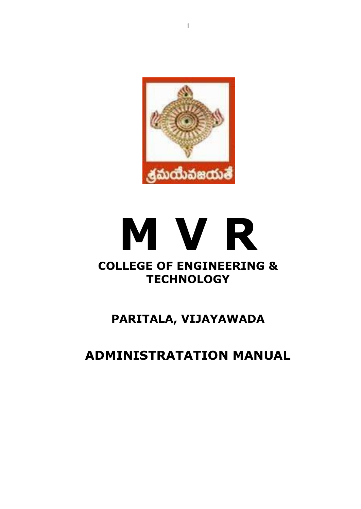

# **M V R COLLEGE OF ENGINEERING & TECHNOLOGY**

## **PARITALA, VIJAYAWADA**

## **ADMINISTRATATION MANUAL**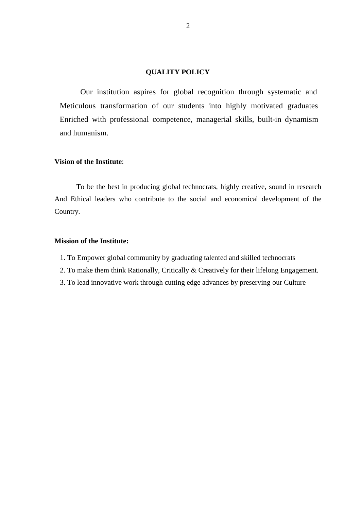#### **QUALITY POLICY**

Our institution aspires for global recognition through systematic and Meticulous transformation of our students into highly motivated graduates Enriched with professional competence, managerial skills, built-in dynamism and humanism.

#### **Vision of the Institute**:

To be the best in producing global technocrats, highly creative, sound in research And Ethical leaders who contribute to the social and economical development of the Country.

#### **Mission of the Institute:**

- 1. To Empower global community by graduating talented and skilled technocrats
- 2. To make them think Rationally, Critically & Creatively for their lifelong Engagement.
- 3. To lead innovative work through cutting edge advances by preserving our Culture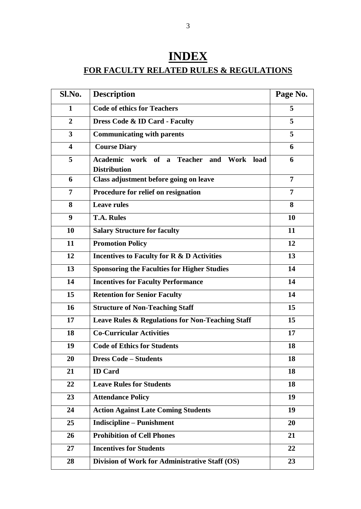## **INDEX FOR FACULTY RELATED RULES & REGULATIONS**

| Sl.No.                  | <b>Description</b>                                                 | Page No. |
|-------------------------|--------------------------------------------------------------------|----------|
| 1                       | <b>Code of ethics for Teachers</b>                                 | 5        |
| $\overline{2}$          | Dress Code & ID Card - Faculty                                     | 5        |
| 3                       | <b>Communicating with parents</b>                                  | 5        |
| $\overline{\mathbf{4}}$ | <b>Course Diary</b>                                                | 6        |
| 5                       | Academic work of a Teacher and<br>Work load<br><b>Distribution</b> | 6        |
| 6                       | Class adjustment before going on leave                             | 7        |
| $\overline{7}$          | Procedure for relief on resignation                                | 7        |
| 8                       | <b>Leave rules</b>                                                 | 8        |
| 9                       | <b>T.A. Rules</b>                                                  | 10       |
| 10                      | <b>Salary Structure for faculty</b>                                | 11       |
| 11                      | <b>Promotion Policy</b>                                            | 12       |
| 12                      | Incentives to Faculty for R & D Activities                         | 13       |
| 13                      | <b>Sponsoring the Faculties for Higher Studies</b>                 | 14       |
| 14                      | <b>Incentives for Faculty Performance</b>                          | 14       |
| 15                      | <b>Retention for Senior Faculty</b>                                | 14       |
| 16                      | <b>Structure of Non-Teaching Staff</b>                             | 15       |
| 17                      | Leave Rules & Regulations for Non-Teaching Staff                   | 15       |
| 18                      | <b>Co-Curricular Activities</b>                                    | 17       |
| 19                      | <b>Code of Ethics for Students</b>                                 | 18       |
| 20                      | <b>Dress Code – Students</b>                                       | 18       |
| 21                      | <b>ID</b> Card                                                     | 18       |
| 22                      | <b>Leave Rules for Students</b>                                    | 18       |
| 23                      | <b>Attendance Policy</b>                                           | 19       |
| 24                      | <b>Action Against Late Coming Students</b>                         | 19       |
| 25                      | <b>Indiscipline – Punishment</b>                                   | 20       |
| 26                      | <b>Prohibition of Cell Phones</b>                                  | 21       |
| 27                      | <b>Incentives for Students</b>                                     | 22       |
| 28                      | Division of Work for Administrative Staff (OS)                     | 23       |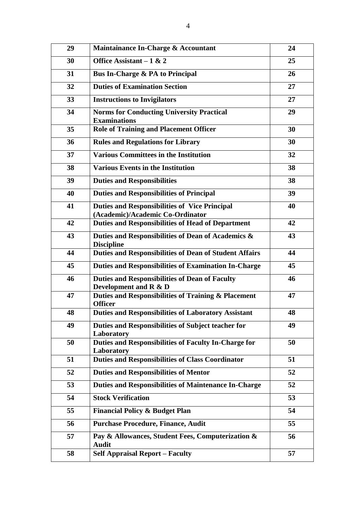| 29 | Maintainance In-Charge & Accountant                                                      | 24 |
|----|------------------------------------------------------------------------------------------|----|
| 30 | Office Assistant - $1 & 2$                                                               | 25 |
| 31 | Bus In-Charge & PA to Principal                                                          | 26 |
| 32 | <b>Duties of Examination Section</b>                                                     | 27 |
| 33 | <b>Instructions to Invigilators</b>                                                      | 27 |
| 34 | <b>Norms for Conducting University Practical</b><br><b>Examinations</b>                  | 29 |
| 35 | <b>Role of Training and Placement Officer</b>                                            | 30 |
| 36 | <b>Rules and Regulations for Library</b>                                                 | 30 |
| 37 | <b>Various Committees in the Institution</b>                                             | 32 |
| 38 | <b>Various Events in the Institution</b>                                                 | 38 |
| 39 | <b>Duties and Responsibilities</b>                                                       | 38 |
| 40 | <b>Duties and Responsibilities of Principal</b>                                          | 39 |
| 41 | <b>Duties and Responsibilities of Vice Principal</b><br>(Academic)/Academic Co-Ordinator | 40 |
| 42 | <b>Duties and Responsibilities of Head of Department</b>                                 | 42 |
| 43 | Duties and Responsibilities of Dean of Academics &<br><b>Discipline</b>                  | 43 |
| 44 | <b>Duties and Responsibilities of Dean of Student Affairs</b>                            | 44 |
| 45 | <b>Duties and Responsibilities of Examination In-Charge</b>                              | 45 |
| 46 | <b>Duties and Responsibilities of Dean of Faculty</b><br>Development and R & D           | 46 |
| 47 | Duties and Responsibilities of Training & Placement<br><b>Officer</b>                    | 47 |
| 48 | <b>Duties and Responsibilities of Laboratory Assistant</b>                               | 48 |
| 49 | Duties and Responsibilities of Subject teacher for<br>Laboratory                         | 49 |
| 50 | Duties and Responsibilities of Faculty In-Charge for<br>Laboratory                       | 50 |
| 51 | <b>Duties and Responsibilities of Class Coordinator</b>                                  | 51 |
| 52 | <b>Duties and Responsibilities of Mentor</b>                                             | 52 |
| 53 | <b>Duties and Responsibilities of Maintenance In-Charge</b>                              | 52 |
| 54 | <b>Stock Verification</b>                                                                | 53 |
| 55 | <b>Financial Policy &amp; Budget Plan</b>                                                | 54 |
| 56 | <b>Purchase Procedure, Finance, Audit</b>                                                | 55 |
| 57 | Pay & Allowances, Student Fees, Computerization &<br><b>Audit</b>                        | 56 |
| 58 | <b>Self Appraisal Report - Faculty</b>                                                   | 57 |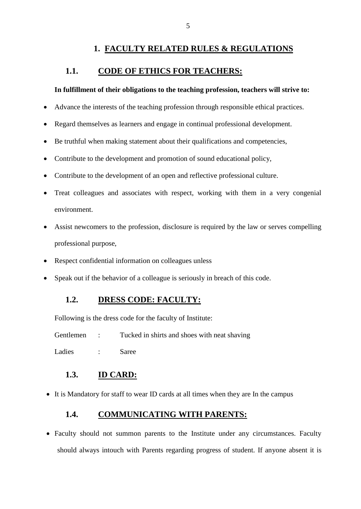## **1. FACULTY RELATED RULES & REGULATIONS**

## **1.1. CODE OF ETHICS FOR TEACHERS:**

#### **In fulfillment of their obligations to the teaching profession, teachers will strive to:**

- Advance the interests of the teaching profession through responsible ethical practices.
- Regard themselves as learners and engage in continual professional development.
- Be truthful when making statement about their qualifications and competencies,
- Contribute to the development and promotion of sound educational policy,
- Contribute to the development of an open and reflective professional culture.
- Treat colleagues and associates with respect, working with them in a very congenial environment.
- Assist newcomers to the profession, disclosure is required by the law or serves compelling professional purpose,
- Respect confidential information on colleagues unless
- Speak out if the behavior of a colleague is seriously in breach of this code.

### **1.2. DRESS CODE: FACULTY:**

Following is the dress code for the faculty of Institute:

Gentlemen : Tucked in shirts and shoes with neat shaving

Ladies : Saree

#### **1.3. ID CARD:**

It is Mandatory for staff to wear ID cards at all times when they are In the campus

#### **1.4. COMMUNICATING WITH PARENTS:**

• Faculty should not summon parents to the Institute under any circumstances. Faculty should always intouch with Parents regarding progress of student. If anyone absent it is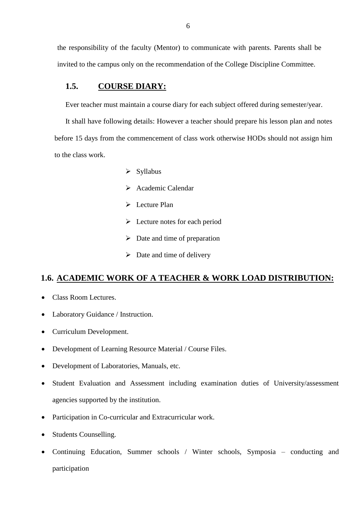the responsibility of the faculty (Mentor) to communicate with parents. Parents shall be invited to the campus only on the recommendation of the College Discipline Committee.

### **1.5. COURSE DIARY:**

Ever teacher must maintain a course diary for each subject offered during semester/year.

It shall have following details: However a teacher should prepare his lesson plan and notes before 15 days from the commencement of class work otherwise HODs should not assign him to the class work.

- $\triangleright$  Syllabus
- Academic Calendar
- $\triangleright$  Lecture Plan
- $\triangleright$  Lecture notes for each period
- $\triangleright$  Date and time of preparation
- $\triangleright$  Date and time of delivery

#### **1.6. ACADEMIC WORK OF A TEACHER & WORK LOAD DISTRIBUTION:**

- Class Room Lectures.
- Laboratory Guidance / Instruction.
- Curriculum Development.
- Development of Learning Resource Material / Course Files.
- Development of Laboratories, Manuals, etc.
- Student Evaluation and Assessment including examination duties of University/assessment agencies supported by the institution.
- Participation in Co-curricular and Extracurricular work.
- Students Counselling.
- Continuing Education, Summer schools / Winter schools, Symposia conducting and participation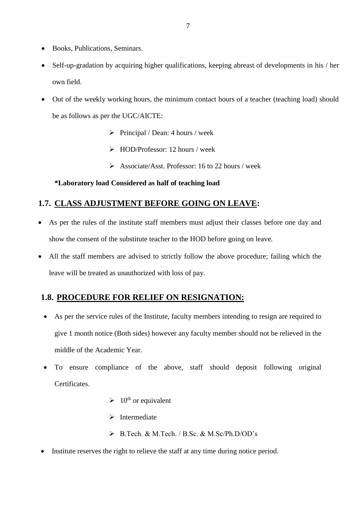- Books, Publications, Seminars.
- Self-up-gradation by acquiring higher qualifications, keeping abreast of developments in his / her own field.
- Out of the weekly working hours, the minimum contact hours of a teacher (teaching load) should be as follows as per the UGC/AICTE:
	- $\triangleright$  Principal / Dean: 4 hours / week
	- $\triangleright$  HOD/Professor: 12 hours / week
	- Associate/Asst. Professor: 16 to 22 hours / week

#### **\*Laboratory load Considered as half of teaching load**

## **1.7. CLASS ADJUSTMENT BEFORE GOING ON LEAVE:**

- As per the rules of the institute staff members must adjust their classes before one day and show the consent of the substitute teacher to the HOD before going on leave.
- All the staff members are advised to strictly follow the above procedure; failing which the leave will be treated as unauthorized with loss of pay.

### **1.8. PROCEDURE FOR RELIEF ON RESIGNATION:**

- As per the service rules of the Institute, faculty members intending to resign are required to give 1 month notice (Both sides) however any faculty member should not be relieved in the middle of the Academic Year.
- To ensure compliance of the above, staff should deposit following original Certificates.
	- $\geq 10^{\text{th}}$  or equivalent
	- $\triangleright$  Intermediate
	- B.Tech. & M.Tech. / B.Sc. & M.Sc/Ph.D/OD's
- Institute reserves the right to relieve the staff at any time during notice period.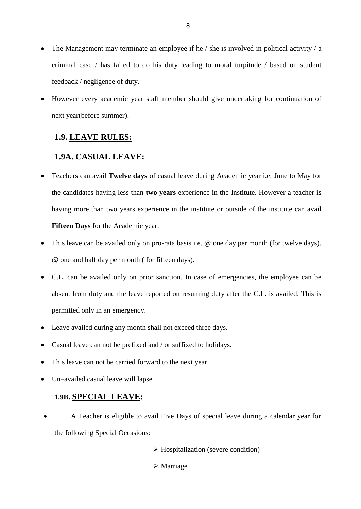- The Management may terminate an employee if he / she is involved in political activity / a criminal case / has failed to do his duty leading to moral turpitude / based on student feedback / negligence of duty.
- However every academic year staff member should give undertaking for continuation of next year(before summer).

### **1.9. LEAVE RULES:**

### **1.9A. CASUAL LEAVE:**

- Teachers can avail **Twelve days** of casual leave during Academic year i.e. June to May for the candidates having less than **two years** experience in the Institute. However a teacher is having more than two years experience in the institute or outside of the institute can avail **Fifteen Days** for the Academic year.
- This leave can be availed only on pro-rata basis i.e. @ one day per month (for twelve days). @ one and half day per month ( for fifteen days).
- C.L. can be availed only on prior sanction. In case of emergencies, the employee can be absent from duty and the leave reported on resuming duty after the C.L. is availed. This is permitted only in an emergency.
- Leave availed during any month shall not exceed three days.
- Casual leave can not be prefixed and / or suffixed to holidays.
- This leave can not be carried forward to the next year.
- Un–availed casual leave will lapse.

### **1.9B. SPECIAL LEAVE:**

- A Teacher is eligible to avail Five Days of special leave during a calendar year for the following Special Occasions:
	- $\triangleright$  Hospitalization (severe condition)
	- Marriage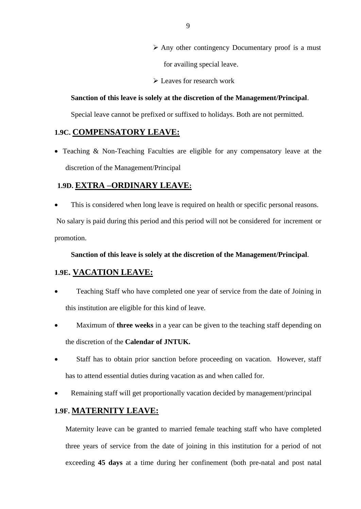- $\triangleright$  Any other contingency Documentary proof is a must for availing special leave.
- Leaves for research work

#### **Sanction of this leave is solely at the discretion of the Management/Principal**.

Special leave cannot be prefixed or suffixed to holidays. Both are not permitted.

### **1.9C. COMPENSATORY LEAVE:**

• Teaching & Non-Teaching Faculties are eligible for any compensatory leave at the discretion of the Management/Principal

### **1.9D. EXTRA –ORDINARY LEAVE:**

This is considered when long leave is required on health or specific personal reasons.

No salary is paid during this period and this period will not be considered for increment or promotion.

#### **Sanction of this leave is solely at the discretion of the Management/Principal**.

#### **1.9E. VACATION LEAVE:**

- Teaching Staff who have completed one year of service from the date of Joining in this institution are eligible for this kind of leave.
- Maximum of **three weeks** in a year can be given to the teaching staff depending on the discretion of the **Calendar of JNTUK.**
- Staff has to obtain prior sanction before proceeding on vacation. However, staff has to attend essential duties during vacation as and when called for.
- Remaining staff will get proportionally vacation decided by management/principal

#### **1.9F. MATERNITY LEAVE:**

Maternity leave can be granted to married female teaching staff who have completed three years of service from the date of joining in this institution for a period of not exceeding **45 days** at a time during her confinement (both pre-natal and post natal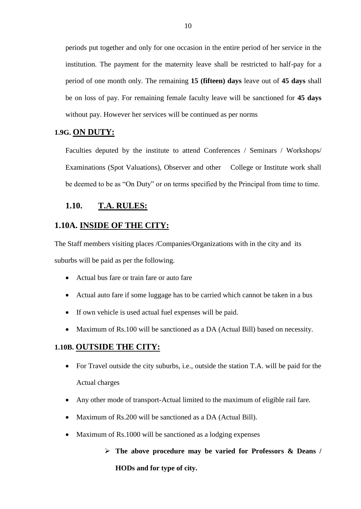periods put together and only for one occasion in the entire period of her service in the institution. The payment for the maternity leave shall be restricted to half-pay for a period of one month only. The remaining **15 (fifteen) days** leave out of **45 days** shall be on loss of pay. For remaining female faculty leave will be sanctioned for **45 days** without pay. However her services will be continued as per norms

#### **1.9G. ON DUTY:**

Faculties deputed by the institute to attend Conferences / Seminars / Workshops/ Examinations (Spot Valuations), Observer and other College or Institute work shall be deemed to be as "On Duty" or on terms specified by the Principal from time to time.

#### **1.10. T.A. RULES:**

#### **1.10A. INSIDE OF THE CITY:**

The Staff members visiting places /Companies/Organizations with in the city and its suburbs will be paid as per the following.

- Actual bus fare or train fare or auto fare
- Actual auto fare if some luggage has to be carried which cannot be taken in a bus
- If own vehicle is used actual fuel expenses will be paid.
- Maximum of Rs.100 will be sanctioned as a DA (Actual Bill) based on necessity.

#### **1.10B. OUTSIDE THE CITY:**

- For Travel outside the city suburbs, i.e., outside the station T.A. will be paid for the Actual charges
- Any other mode of transport-Actual limited to the maximum of eligible rail fare.
- Maximum of Rs.200 will be sanctioned as a DA (Actual Bill).
- Maximum of Rs.1000 will be sanctioned as a lodging expenses

## **The above procedure may be varied for Professors & Deans / HODs and for type of city.**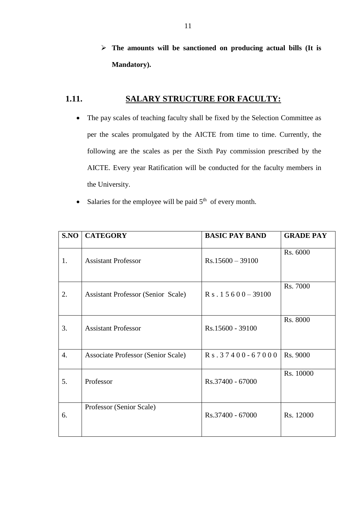**The amounts will be sanctioned on producing actual bills (It is Mandatory).**

## **1.11. SALARY STRUCTURE FOR FACULTY:**

- The pay scales of teaching faculty shall be fixed by the Selection Committee as per the scales promulgated by the AICTE from time to time. Currently, the following are the scales as per the Sixth Pay commission prescribed by the AICTE. Every year Ratification will be conducted for the faculty members in the University.
- Salaries for the employee will be paid  $5<sup>th</sup>$  of every month.

| S.NO | <b>CATEGORY</b>                           | <b>BASIC PAY BAND</b>     | <b>GRADE PAY</b> |
|------|-------------------------------------------|---------------------------|------------------|
| 1.   | <b>Assistant Professor</b>                | $Rs.15600 - 39100$        | Rs. 6000         |
| 2.   | <b>Assistant Professor (Senior Scale)</b> | $R_s$ . 1 5 6 0 0 - 39100 | Rs. 7000         |
| 3.   | <b>Assistant Professor</b>                | Rs.15600 - 39100          | Rs. 8000         |
| 4.   | Associate Professor (Senior Scale)        | Rs. 37400-67000           | Rs. 9000         |
| 5.   | Professor                                 | Rs.37400 - 67000          | Rs. 10000        |
| 6.   | Professor (Senior Scale)                  | Rs.37400 - 67000          | Rs. 12000        |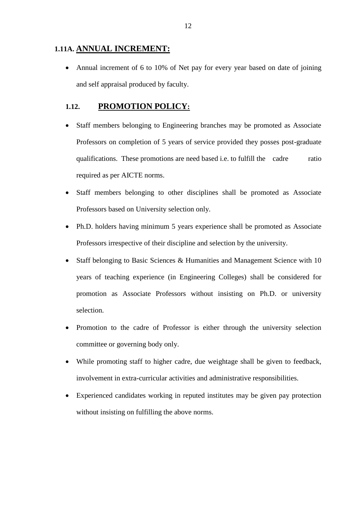#### **1.11A. ANNUAL INCREMENT:**

• Annual increment of 6 to 10% of Net pay for every year based on date of joining and self appraisal produced by faculty.

## **1.12. PROMOTION POLICY:**

- Staff members belonging to Engineering branches may be promoted as Associate Professors on completion of 5 years of service provided they posses post-graduate qualifications. These promotions are need based i.e. to fulfill the cadre ratio required as per AICTE norms.
- Staff members belonging to other disciplines shall be promoted as Associate Professors based on University selection only.
- Ph.D. holders having minimum 5 years experience shall be promoted as Associate Professors irrespective of their discipline and selection by the university.
- Staff belonging to Basic Sciences & Humanities and Management Science with 10 years of teaching experience (in Engineering Colleges) shall be considered for promotion as Associate Professors without insisting on Ph.D. or university selection.
- Promotion to the cadre of Professor is either through the university selection committee or governing body only.
- While promoting staff to higher cadre, due weightage shall be given to feedback, involvement in extra-curricular activities and administrative responsibilities.
- Experienced candidates working in reputed institutes may be given pay protection without insisting on fulfilling the above norms.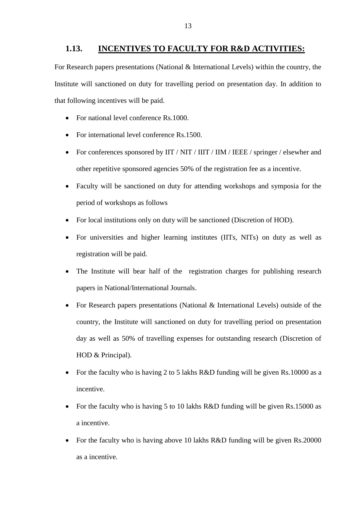#### **1.13. INCENTIVES TO FACULTY FOR R&D ACTIVITIES:**

For Research papers presentations (National & International Levels) within the country, the Institute will sanctioned on duty for travelling period on presentation day. In addition to that following incentives will be paid.

- For national level conference Rs.1000.
- For international level conference Rs.1500.
- For conferences sponsored by IIT / NIT / IIIT / IIM / IEEE / springer / elsewher and other repetitive sponsored agencies 50% of the registration fee as a incentive.
- Faculty will be sanctioned on duty for attending workshops and symposia for the period of workshops as follows
- For local institutions only on duty will be sanctioned (Discretion of HOD).
- For universities and higher learning institutes (IITs, NITs) on duty as well as registration will be paid.
- The Institute will bear half of the registration charges for publishing research papers in National/International Journals.
- For Research papers presentations (National & International Levels) outside of the country, the Institute will sanctioned on duty for travelling period on presentation day as well as 50% of travelling expenses for outstanding research (Discretion of HOD & Principal).
- For the faculty who is having 2 to 5 lakhs R&D funding will be given Rs.10000 as a incentive.
- For the faculty who is having 5 to 10 lakhs R&D funding will be given Rs.15000 as a incentive.
- For the faculty who is having above 10 lakhs R&D funding will be given Rs.20000 as a incentive.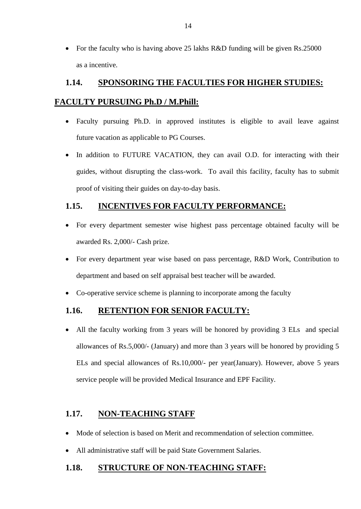For the faculty who is having above 25 lakhs R&D funding will be given Rs.25000 as a incentive.

## **1.14. SPONSORING THE FACULTIES FOR HIGHER STUDIES:**

## **FACULTY PURSUING Ph.D / M.Phill:**

- Faculty pursuing Ph.D. in approved institutes is eligible to avail leave against future vacation as applicable to PG Courses.
- In addition to FUTURE VACATION, they can avail O.D. for interacting with their guides, without disrupting the class-work. To avail this facility, faculty has to submit proof of visiting their guides on day-to-day basis.

## **1.15. INCENTIVES FOR FACULTY PERFORMANCE:**

- For every department semester wise highest pass percentage obtained faculty will be awarded Rs. 2,000/- Cash prize.
- For every department year wise based on pass percentage, R&D Work, Contribution to department and based on self appraisal best teacher will be awarded.
- Co-operative service scheme is planning to incorporate among the faculty

## **1.16. RETENTION FOR SENIOR FACULTY:**

 All the faculty working from 3 years will be honored by providing 3 ELs and special allowances of Rs.5,000/- (January) and more than 3 years will be honored by providing 5 ELs and special allowances of Rs.10,000/- per year(January). However, above 5 years service people will be provided Medical Insurance and EPF Facility.

## **1.17. NON-TEACHING STAFF**

- Mode of selection is based on Merit and recommendation of selection committee.
- All administrative staff will be paid State Government Salaries.

## **1.18. STRUCTURE OF NON-TEACHING STAFF:**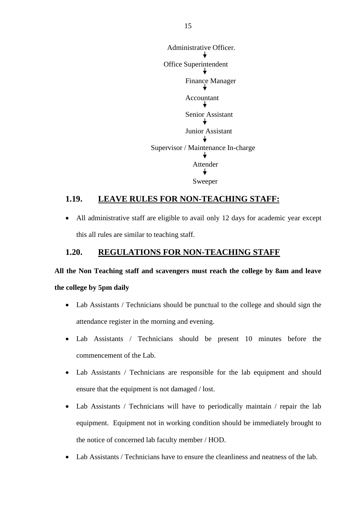

#### **1.19. LEAVE RULES FOR NON-TEACHING STAFF:**

 All administrative staff are eligible to avail only 12 days for academic year except this all rules are similar to teaching staff.

#### **1.20. REGULATIONS FOR NON-TEACHING STAFF**

#### **All the Non Teaching staff and scavengers must reach the college by 8am and leave**

#### **the college by 5pm daily**

- Lab Assistants / Technicians should be punctual to the college and should sign the attendance register in the morning and evening.
- Lab Assistants / Technicians should be present 10 minutes before the commencement of the Lab.
- Lab Assistants / Technicians are responsible for the lab equipment and should ensure that the equipment is not damaged / lost.
- Lab Assistants / Technicians will have to periodically maintain / repair the lab equipment. Equipment not in working condition should be immediately brought to the notice of concerned lab faculty member / HOD.
- Lab Assistants / Technicians have to ensure the cleanliness and neatness of the lab.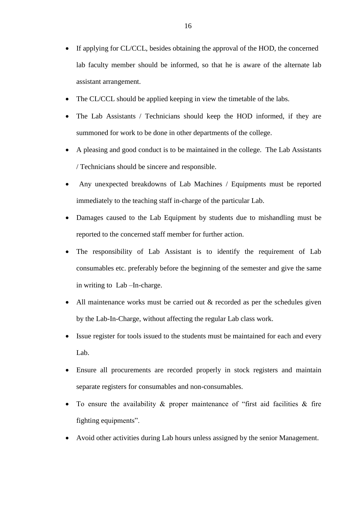- If applying for CL/CCL, besides obtaining the approval of the HOD, the concerned lab faculty member should be informed, so that he is aware of the alternate lab assistant arrangement.
- The CL/CCL should be applied keeping in view the timetable of the labs.
- The Lab Assistants / Technicians should keep the HOD informed, if they are summoned for work to be done in other departments of the college.
- A pleasing and good conduct is to be maintained in the college. The Lab Assistants / Technicians should be sincere and responsible.
- Any unexpected breakdowns of Lab Machines / Equipments must be reported immediately to the teaching staff in-charge of the particular Lab.
- Damages caused to the Lab Equipment by students due to mishandling must be reported to the concerned staff member for further action.
- The responsibility of Lab Assistant is to identify the requirement of Lab consumables etc. preferably before the beginning of the semester and give the same in writing to Lab –In-charge.
- All maintenance works must be carried out & recorded as per the schedules given by the Lab-In-Charge, without affecting the regular Lab class work.
- Issue register for tools issued to the students must be maintained for each and every Lab.
- Ensure all procurements are recorded properly in stock registers and maintain separate registers for consumables and non-consumables.
- To ensure the availability  $\&$  proper maintenance of "first aid facilities  $\&$  fire fighting equipments".
- Avoid other activities during Lab hours unless assigned by the senior Management.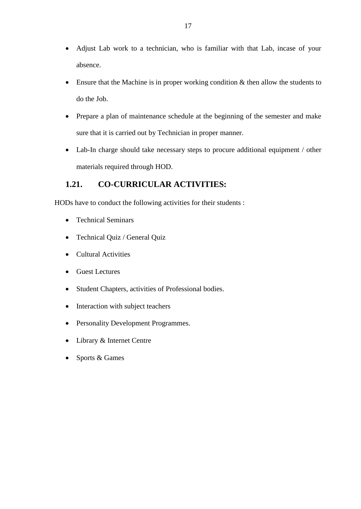- Adjust Lab work to a technician, who is familiar with that Lab, incase of your absence.
- Ensure that the Machine is in proper working condition & then allow the students to do the Job.
- Prepare a plan of maintenance schedule at the beginning of the semester and make sure that it is carried out by Technician in proper manner.
- Lab-In charge should take necessary steps to procure additional equipment / other materials required through HOD.

## **1.21. CO-CURRICULAR ACTIVITIES:**

HODs have to conduct the following activities for their students :

- Technical Seminars
- Technical Quiz / General Quiz
- Cultural Activities
- Guest Lectures
- Student Chapters, activities of Professional bodies.
- Interaction with subject teachers
- Personality Development Programmes.
- Library & Internet Centre
- Sports & Games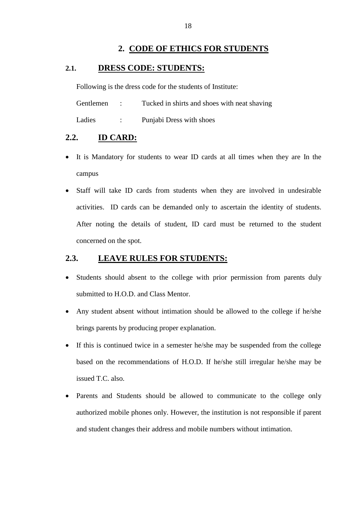### **2. CODE OF ETHICS FOR STUDENTS**

#### **2.1. DRESS CODE: STUDENTS:**

Following is the dress code for the students of Institute:

Gentlemen : Tucked in shirts and shoes with neat shaving

Ladies : Punjabi Dress with shoes

## **2.2. ID CARD:**

- It is Mandatory for students to wear ID cards at all times when they are In the campus
- Staff will take ID cards from students when they are involved in undesirable activities. ID cards can be demanded only to ascertain the identity of students. After noting the details of student, ID card must be returned to the student concerned on the spot.

## **2.3. LEAVE RULES FOR STUDENTS:**

- Students should absent to the college with prior permission from parents duly submitted to H.O.D. and Class Mentor.
- Any student absent without intimation should be allowed to the college if he/she brings parents by producing proper explanation.
- If this is continued twice in a semester he/she may be suspended from the college based on the recommendations of H.O.D. If he/she still irregular he/she may be issued T.C. also.
- Parents and Students should be allowed to communicate to the college only authorized mobile phones only. However, the institution is not responsible if parent and student changes their address and mobile numbers without intimation.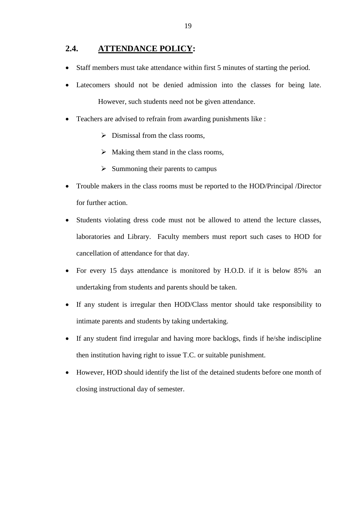#### **2.4. ATTENDANCE POLICY:**

- Staff members must take attendance within first 5 minutes of starting the period.
- Latecomers should not be denied admission into the classes for being late. However, such students need not be given attendance.
- Teachers are advised to refrain from awarding punishments like :
	- $\triangleright$  Dismissal from the class rooms,
	- $\triangleright$  Making them stand in the class rooms,
	- $\triangleright$  Summoning their parents to campus
- Trouble makers in the class rooms must be reported to the HOD/Principal /Director for further action.
- Students violating dress code must not be allowed to attend the lecture classes, laboratories and Library. Faculty members must report such cases to HOD for cancellation of attendance for that day.
- For every 15 days attendance is monitored by H.O.D. if it is below 85% an undertaking from students and parents should be taken.
- If any student is irregular then HOD/Class mentor should take responsibility to intimate parents and students by taking undertaking.
- If any student find irregular and having more backlogs, finds if he/she indiscipline then institution having right to issue T.C. or suitable punishment.
- However, HOD should identify the list of the detained students before one month of closing instructional day of semester.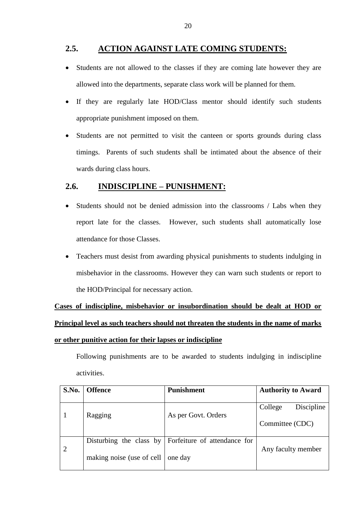## **2.5. ACTION AGAINST LATE COMING STUDENTS:**

- Students are not allowed to the classes if they are coming late however they are allowed into the departments, separate class work will be planned for them.
- If they are regularly late HOD/Class mentor should identify such students appropriate punishment imposed on them.
- Students are not permitted to visit the canteen or sports grounds during class timings. Parents of such students shall be intimated about the absence of their wards during class hours.

## **2.6. INDISCIPLINE – PUNISHMENT:**

- Students should not be denied admission into the classrooms / Labs when they report late for the classes. However, such students shall automatically lose attendance for those Classes.
- Teachers must desist from awarding physical punishments to students indulging in misbehavior in the classrooms. However they can warn such students or report to the HOD/Principal for necessary action.

**Cases of indiscipline, misbehavior or insubordination should be dealt at HOD or Principal level as such teachers should not threaten the students in the name of marks or other punitive action for their lapses or indiscipline**

Following punishments are to be awarded to students indulging in indiscipline activities.

| S.No.          | <b>Offence</b>            | <b>Punishment</b>                                    | <b>Authority to Award</b> |
|----------------|---------------------------|------------------------------------------------------|---------------------------|
|                |                           |                                                      |                           |
|                |                           |                                                      | College<br>Discipline     |
|                | Ragging                   | As per Govt. Orders                                  |                           |
|                |                           |                                                      | Committee (CDC)           |
|                |                           |                                                      |                           |
|                |                           | Disturbing the class by Forfeiture of attendance for |                           |
| $\overline{2}$ |                           |                                                      | Any faculty member        |
|                | making noise (use of cell | one day                                              |                           |
|                |                           |                                                      |                           |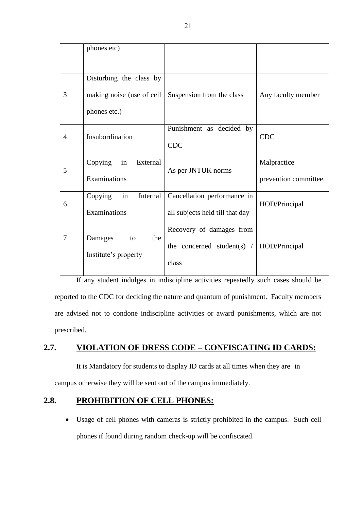|                | phones etc)                                                          |                                                                   |                                      |
|----------------|----------------------------------------------------------------------|-------------------------------------------------------------------|--------------------------------------|
| 3              | Disturbing the class by<br>making noise (use of cell<br>phones etc.) | Suspension from the class                                         | Any faculty member                   |
| $\overline{4}$ | Insubordination                                                      | Punishment as decided by<br><b>CDC</b>                            | <b>CDC</b>                           |
| 5              | Copying<br>in<br>External<br>Examinations                            | As per JNTUK norms                                                | Malpractice<br>prevention committee. |
| 6              | Copying<br>in<br>Internal<br>Examinations                            | Cancellation performance in<br>all subjects held till that day    | HOD/Principal                        |
| 7              | Damages<br>the<br>to<br>Institute's property                         | Recovery of damages from<br>the concerned student(s) $/$<br>class | HOD/Principal                        |

If any student indulges in indiscipline activities repeatedly such cases should be reported to the CDC for deciding the nature and quantum of punishment. Faculty members are advised not to condone indiscipline activities or award punishments, which are not prescribed.

## **2.7. VIOLATION OF DRESS CODE – CONFISCATING ID CARDS:**

It is Mandatory for students to display ID cards at all times when they are in campus otherwise they will be sent out of the campus immediately.

### **2.8. PROHIBITION OF CELL PHONES:**

 Usage of cell phones with cameras is strictly prohibited in the campus. Such cell phones if found during random check-up will be confiscated.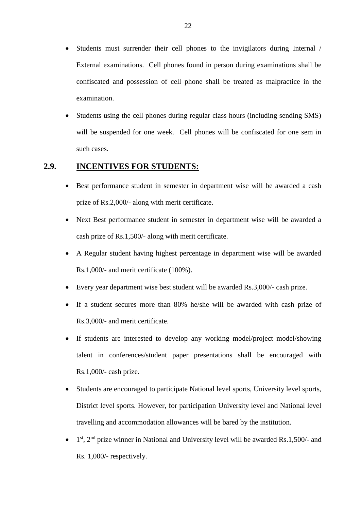- Students must surrender their cell phones to the invigilators during Internal / External examinations. Cell phones found in person during examinations shall be confiscated and possession of cell phone shall be treated as malpractice in the examination.
- Students using the cell phones during regular class hours (including sending SMS) will be suspended for one week. Cell phones will be confiscated for one sem in such cases.

## **2.9. INCENTIVES FOR STUDENTS:**

- Best performance student in semester in department wise will be awarded a cash prize of Rs.2,000/- along with merit certificate.
- Next Best performance student in semester in department wise will be awarded a cash prize of Rs.1,500/- along with merit certificate.
- A Regular student having highest percentage in department wise will be awarded Rs.1,000/- and merit certificate (100%).
- Every year department wise best student will be awarded Rs.3,000/- cash prize.
- If a student secures more than 80% he/she will be awarded with cash prize of Rs.3,000/- and merit certificate.
- If students are interested to develop any working model/project model/showing talent in conferences/student paper presentations shall be encouraged with Rs.1,000/- cash prize.
- Students are encouraged to participate National level sports, University level sports, District level sports. However, for participation University level and National level travelling and accommodation allowances will be bared by the institution.
- $\bullet$  1<sup>st</sup>, 2<sup>nd</sup> prize winner in National and University level will be awarded Rs.1,500/- and Rs. 1,000/- respectively.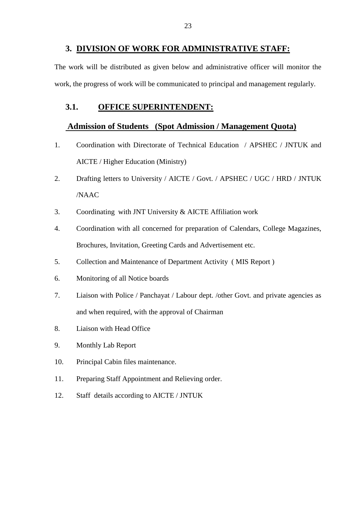#### **3. DIVISION OF WORK FOR ADMINISTRATIVE STAFF:**

The work will be distributed as given below and administrative officer will monitor the work, the progress of work will be communicated to principal and management regularly.

### **3.1. OFFICE SUPERINTENDENT:**

#### **Admission of Students (Spot Admission / Management Quota)**

- 1. Coordination with Directorate of Technical Education / APSHEC / JNTUK and AICTE / Higher Education (Ministry)
- 2. Drafting letters to University / AICTE / Govt. / APSHEC / UGC / HRD / JNTUK /NAAC
- 3. Coordinating with JNT University & AICTE Affiliation work
- 4. Coordination with all concerned for preparation of Calendars, College Magazines, Brochures, Invitation, Greeting Cards and Advertisement etc.
- 5. Collection and Maintenance of Department Activity ( MIS Report )
- 6. Monitoring of all Notice boards
- 7. Liaison with Police / Panchayat / Labour dept. /other Govt. and private agencies as and when required, with the approval of Chairman
- 8. Liaison with Head Office
- 9. Monthly Lab Report
- 10. Principal Cabin files maintenance.
- 11. Preparing Staff Appointment and Relieving order.
- 12. Staff details according to AICTE / JNTUK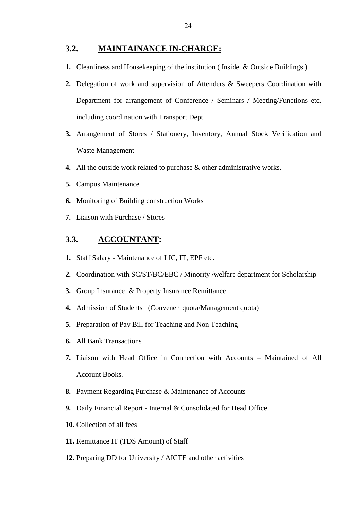#### **3.2. MAINTAINANCE IN-CHARGE:**

- **1.** Cleanliness and Housekeeping of the institution ( Inside & Outside Buildings )
- **2.** Delegation of work and supervision of Attenders & Sweepers Coordination with Department for arrangement of Conference / Seminars / Meeting/Functions etc. including coordination with Transport Dept.
- **3.** Arrangement of Stores / Stationery, Inventory, Annual Stock Verification and Waste Management
- **4.** All the outside work related to purchase & other administrative works.
- **5.** Campus Maintenance
- **6.** Monitoring of Building construction Works
- **7.** Liaison with Purchase / Stores

#### **3.3. ACCOUNTANT:**

- **1.** Staff Salary Maintenance of LIC, IT, EPF etc.
- **2.** Coordination with SC/ST/BC/EBC / Minority /welfare department for Scholarship
- **3.** Group Insurance & Property Insurance Remittance
- **4.** Admission of Students (Convener quota/Management quota)
- **5.** Preparation of Pay Bill for Teaching and Non Teaching
- **6.** All Bank Transactions
- **7.** Liaison with Head Office in Connection with Accounts Maintained of All Account Books.
- **8.** Payment Regarding Purchase & Maintenance of Accounts
- **9.** Daily Financial Report Internal & Consolidated for Head Office.
- **10.** Collection of all fees
- **11.** Remittance IT (TDS Amount) of Staff
- **12.** Preparing DD for University / AICTE and other activities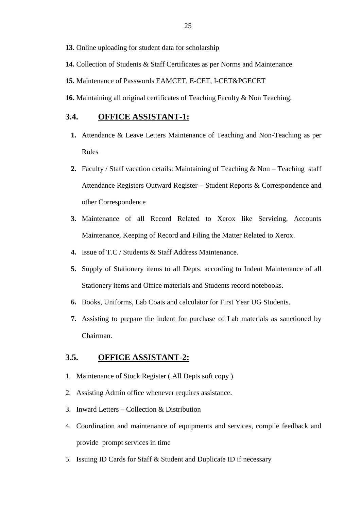**13.** Online uploading for student data for scholarship

- **14.** Collection of Students & Staff Certificates as per Norms and Maintenance
- **15.** Maintenance of Passwords EAMCET, E-CET, I-CET&PGECET
- **16.** Maintaining all original certificates of Teaching Faculty & Non Teaching.

#### **3.4. OFFICE ASSISTANT-1:**

- **1.** Attendance & Leave Letters Maintenance of Teaching and Non-Teaching as per Rules
- **2.** Faculty / Staff vacation details: Maintaining of Teaching & Non Teaching staff Attendance Registers Outward Register – Student Reports & Correspondence and other Correspondence
- **3.** Maintenance of all Record Related to Xerox like Servicing, Accounts Maintenance, Keeping of Record and Filing the Matter Related to Xerox.
- **4.** Issue of T.C / Students & Staff Address Maintenance.
- **5.** Supply of Stationery items to all Depts. according to Indent Maintenance of all Stationery items and Office materials and Students record notebooks.
- **6.** Books, Uniforms, Lab Coats and calculator for First Year UG Students.
- **7.** Assisting to prepare the indent for purchase of Lab materials as sanctioned by Chairman.

#### **3.5. OFFICE ASSISTANT-2:**

- 1. Maintenance of Stock Register ( All Depts soft copy )
- 2. Assisting Admin office whenever requires assistance.
- 3. Inward Letters Collection & Distribution
- 4. Coordination and maintenance of equipments and services, compile feedback and provide prompt services in time
- 5. Issuing ID Cards for Staff & Student and Duplicate ID if necessary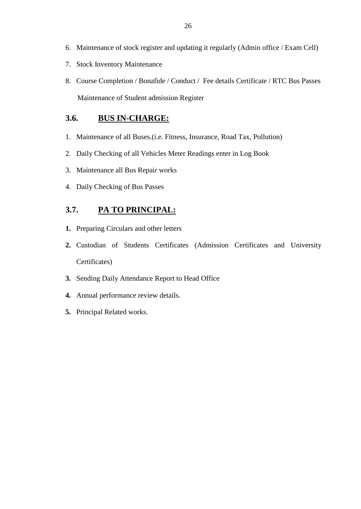- 6. Maintenance of stock register and updating it regularly (Admin office / Exam Cell)
- 7. Stock Inventory Maintenance
- 8. Course Completion / Bonafide / Conduct / Fee details Certificate / RTC Bus Passes Maintenance of Student admission Register

## **3.6. BUS IN-CHARGE:**

- 1. Maintenance of all Buses.(i.e. Fitness, Insurance, Road Tax, Pollution)
- 2. Daily Checking of all Vehicles Meter Readings enter in Log Book
- 3. Maintenance all Bus Repair works
- 4. Daily Checking of Bus Passes

## **3.7. PA TO PRINCIPAL:**

- **1.** Preparing Circulars and other letters
- **2.** Custodian of Students Certificates (Admission Certificates and University Certificates)
- **3.** Sending Daily Attendance Report to Head Office
- **4.** Annual performance review details.
- **5.** Principal Related works.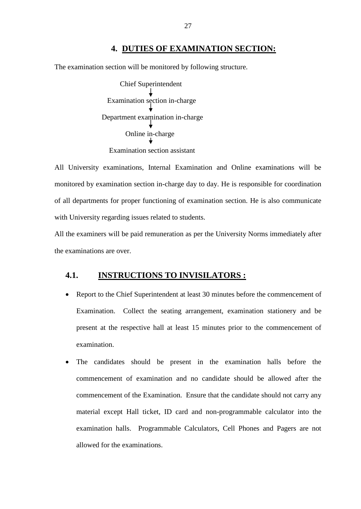#### **4. DUTIES OF EXAMINATION SECTION:**

The examination section will be monitored by following structure.

Chief Superintendent Examination section in-charge Department examination in-charge Online in-charge Examination section assistant

All University examinations, Internal Examination and Online examinations will be monitored by examination section in-charge day to day. He is responsible for coordination of all departments for proper functioning of examination section. He is also communicate with University regarding issues related to students.

All the examiners will be paid remuneration as per the University Norms immediately after the examinations are over.

#### **4.1. INSTRUCTIONS TO INVISILATORS :**

- Report to the Chief Superintendent at least 30 minutes before the commencement of Examination. Collect the seating arrangement, examination stationery and be present at the respective hall at least 15 minutes prior to the commencement of examination.
- The candidates should be present in the examination halls before the commencement of examination and no candidate should be allowed after the commencement of the Examination. Ensure that the candidate should not carry any material except Hall ticket, ID card and non-programmable calculator into the examination halls. Programmable Calculators, Cell Phones and Pagers are not allowed for the examinations.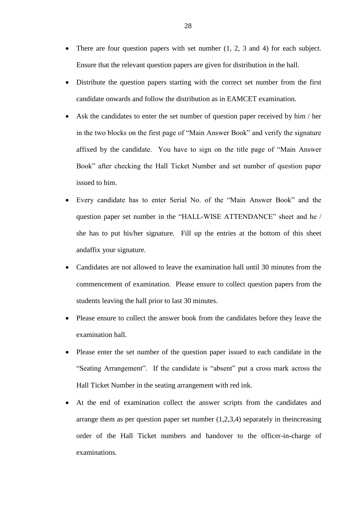- There are four question papers with set number (1, 2, 3 and 4) for each subject. Ensure that the relevant question papers are given for distribution in the hall.
- Distribute the question papers starting with the correct set number from the first candidate onwards and follow the distribution as in EAMCET examination.
- Ask the candidates to enter the set number of question paper received by him / her in the two blocks on the first page of "Main Answer Book" and verify the signature affixed by the candidate. You have to sign on the title page of "Main Answer Book" after checking the Hall Ticket Number and set number of question paper issued to him.
- Every candidate has to enter Serial No. of the "Main Answer Book" and the question paper set number in the "HALL-WISE ATTENDANCE" sheet and he / she has to put his/her signature. Fill up the entries at the bottom of this sheet andaffix your signature.
- Candidates are not allowed to leave the examination hall until 30 minutes from the commencement of examination. Please ensure to collect question papers from the students leaving the hall prior to last 30 minutes.
- Please ensure to collect the answer book from the candidates before they leave the examination hall.
- Please enter the set number of the question paper issued to each candidate in the "Seating Arrangement". If the candidate is "absent" put a cross mark across the Hall Ticket Number in the seating arrangement with red ink.
- At the end of examination collect the answer scripts from the candidates and arrange them as per question paper set number  $(1,2,3,4)$  separately in the increasing order of the Hall Ticket numbers and handover to the officer-in-charge of examinations.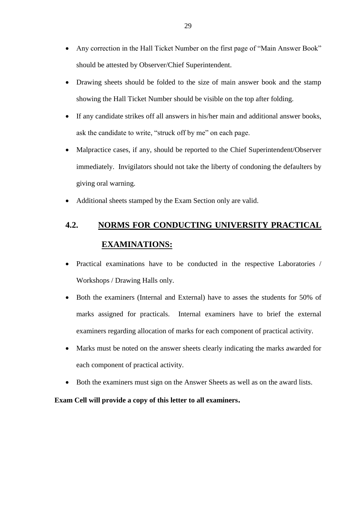- Any correction in the Hall Ticket Number on the first page of "Main Answer Book" should be attested by Observer/Chief Superintendent.
- Drawing sheets should be folded to the size of main answer book and the stamp showing the Hall Ticket Number should be visible on the top after folding.
- If any candidate strikes off all answers in his/her main and additional answer books, ask the candidate to write, "struck off by me" on each page.
- Malpractice cases, if any, should be reported to the Chief Superintendent/Observer immediately. Invigilators should not take the liberty of condoning the defaulters by giving oral warning.
- Additional sheets stamped by the Exam Section only are valid.

## **4.2. NORMS FOR CONDUCTING UNIVERSITY PRACTICAL EXAMINATIONS:**

- Practical examinations have to be conducted in the respective Laboratories / Workshops / Drawing Halls only.
- Both the examiners (Internal and External) have to asses the students for 50% of marks assigned for practicals. Internal examiners have to brief the external examiners regarding allocation of marks for each component of practical activity.
- Marks must be noted on the answer sheets clearly indicating the marks awarded for each component of practical activity.
- Both the examiners must sign on the Answer Sheets as well as on the award lists.

**Exam Cell will provide a copy of this letter to all examiners.**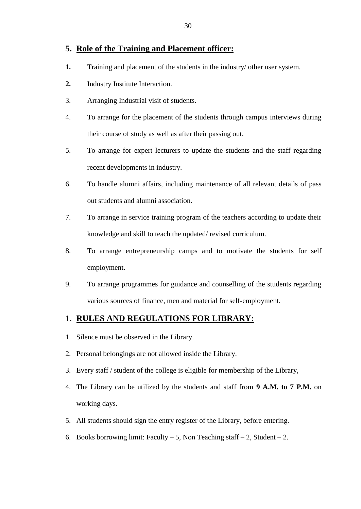#### **5. Role of the Training and Placement officer:**

- **1.** Training and placement of the students in the industry/ other user system.
- **2.** Industry Institute Interaction.
- 3. Arranging Industrial visit of students.
- 4. To arrange for the placement of the students through campus interviews during their course of study as well as after their passing out.
- 5. To arrange for expert lecturers to update the students and the staff regarding recent developments in industry.
- 6. To handle alumni affairs, including maintenance of all relevant details of pass out students and alumni association.
- 7. To arrange in service training program of the teachers according to update their knowledge and skill to teach the updated/ revised curriculum.
- 8. To arrange entrepreneurship camps and to motivate the students for self employment.
- 9. To arrange programmes for guidance and counselling of the students regarding various sources of finance, men and material for self-employment.

### 1. **RULES AND REGULATIONS FOR LIBRARY:**

- 1. Silence must be observed in the Library.
- 2. Personal belongings are not allowed inside the Library.
- 3. Every staff / student of the college is eligible for membership of the Library,
- 4. The Library can be utilized by the students and staff from **9 A.M. to 7 P.M.** on working days.
- 5. All students should sign the entry register of the Library, before entering.
- 6. Books borrowing limit: Faculty 5, Non Teaching staff 2, Student 2.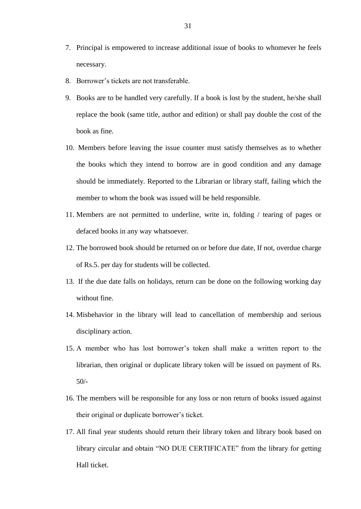- 7. Principal is empowered to increase additional issue of books to whomever he feels necessary.
- 8. Borrower's tickets are not transferable.
- 9. Books are to be handled very carefully. If a book is lost by the student, he/she shall replace the book (same title, author and edition) or shall pay double the cost of the book as fine.
- 10. Members before leaving the issue counter must satisfy themselves as to whether the books which they intend to borrow are in good condition and any damage should be immediately. Reported to the Librarian or library staff, failing which the member to whom the book was issued will be held responsible.
- 11. Members are not permitted to underline, write in, folding / tearing of pages or defaced books in any way whatsoever.
- 12. The borrowed book should be returned on or before due date, If not, overdue charge of Rs.5. per day for students will be collected.
- 13. If the due date falls on holidays, return can be done on the following working day without fine.
- 14. Misbehavior in the library will lead to cancellation of membership and serious disciplinary action.
- 15. A member who has lost borrower's token shall make a written report to the librarian, then original or duplicate library token will be issued on payment of Rs. 50/-
- 16. The members will be responsible for any loss or non return of books issued against their original or duplicate borrower's ticket.
- 17. All final year students should return their library token and library book based on library circular and obtain "NO DUE CERTIFICATE" from the library for getting Hall ticket.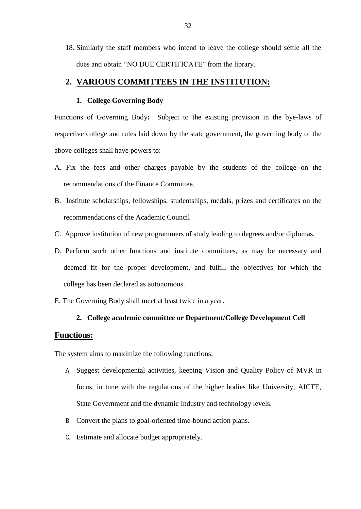18. Similarly the staff members who intend to leave the college should settle all the dues and obtain "NO DUE CERTIFICATE" from the library.

#### **2. VARIOUS COMMITTEES IN THE INSTITUTION:**

#### **1. College Governing Body**

Functions of Governing Body**:** Subject to the existing provision in the bye-laws of respective college and rules laid down by the state government, the governing body of the above colleges shall have powers to:

- A. Fix the fees and other charges payable by the students of the college on the recommendations of the Finance Committee.
- B. Institute scholarships, fellowships, studentships, medals, prizes and certificates on the recommendations of the Academic Council
- C. Approve institution of new programmers of study leading to degrees and/or diplomas.
- D. Perform such other functions and institute committees, as may be necessary and deemed fit for the proper development, and fulfill the objectives for which the college has been declared as autonomous.
- E. The Governing Body shall meet at least twice in a year.

#### **2. College academic committee or Department/College Development Cell**

#### **Functions:**

The system aims to maximize the following functions:

- A. Suggest developmental activities, keeping Vision and Quality Policy of MVR in focus, in tune with the regulations of the higher bodies like University, AICTE, State Government and the dynamic Industry and technology levels.
- B. Convert the plans to goal-oriented time-bound action plans.
- C. Estimate and allocate budget appropriately.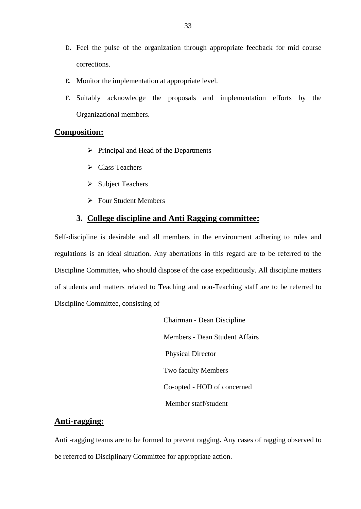- D. Feel the pulse of the organization through appropriate feedback for mid course corrections.
- E. Monitor the implementation at appropriate level.
- F. Suitably acknowledge the proposals and implementation efforts by the Organizational members.

#### **Composition:**

- $\triangleright$  Principal and Head of the Departments
- $\triangleright$  Class Teachers
- $\triangleright$  Subject Teachers
- Four Student Members

#### **3. College discipline and Anti Ragging committee:**

Self-discipline is desirable and all members in the environment adhering to rules and regulations is an ideal situation. Any aberrations in this regard are to be referred to the Discipline Committee, who should dispose of the case expeditiously. All discipline matters of students and matters related to Teaching and non-Teaching staff are to be referred to Discipline Committee, consisting of

> Chairman - Dean Discipline Members - Dean Student Affairs Physical Director Two faculty Members Co-opted - HOD of concerned Member staff/student

#### **Anti-ragging:**

Anti -ragging teams are to be formed to prevent ragging**.** Any cases of ragging observed to be referred to Disciplinary Committee for appropriate action.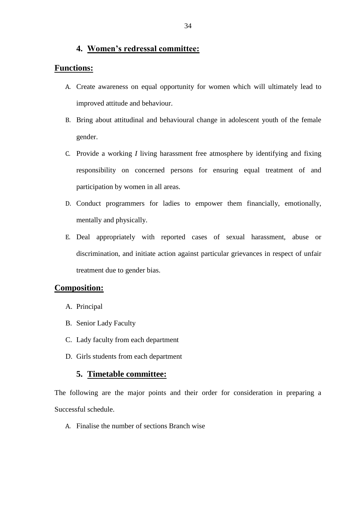#### **4. Women's redressal committee:**

#### **Functions:**

- A. Create awareness on equal opportunity for women which will ultimately lead to improved attitude and behaviour.
- B. Bring about attitudinal and behavioural change in adolescent youth of the female gender.
- C. Provide a working *I* living harassment free atmosphere by identifying and fixing responsibility on concerned persons for ensuring equal treatment of and participation by women in all areas.
- D. Conduct programmers for ladies to empower them financially, emotionally, mentally and physically.
- E. Deal appropriately with reported cases of sexual harassment, abuse or discrimination, and initiate action against particular grievances in respect of unfair treatment due to gender bias.

#### **Composition:**

- A. Principal
- B. Senior Lady Faculty
- C. Lady faculty from each department
- D. Girls students from each department

#### **5. Timetable committee:**

The following are the major points and their order for consideration in preparing a Successful schedule.

A. Finalise the number of sections Branch wise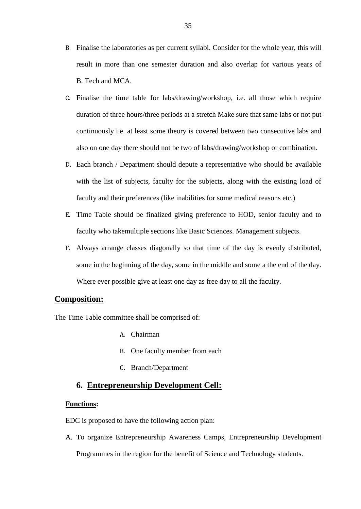- B. Finalise the laboratories as per current syllabi. Consider for the whole year, this will result in more than one semester duration and also overlap for various years of B. Tech and MCA.
- C. Finalise the time table for labs/drawing/workshop, i.e. all those which require duration of three hours/three periods at a stretch Make sure that same labs or not put continuously i.e. at least some theory is covered between two consecutive labs and also on one day there should not be two of labs/drawing/workshop or combination.
- D. Each branch / Department should depute a representative who should be available with the list of subjects, faculty for the subjects, along with the existing load of faculty and their preferences (like inabilities for some medical reasons etc.)
- E. Time Table should be finalized giving preference to HOD, senior faculty and to faculty who takemultiple sections like Basic Sciences. Management subjects.
- F. Always arrange classes diagonally so that time of the day is evenly distributed, some in the beginning of the day, some in the middle and some a the end of the day. Where ever possible give at least one day as free day to all the faculty.

#### **Composition:**

The Time Table committee shall be comprised of:

- A. Chairman
- B. One faculty member from each
- C. Branch/Department

#### **6. Entrepreneurship Development Cell:**

#### **Functions:**

EDC is proposed to have the following action plan:

A. To organize Entrepreneurship Awareness Camps, Entrepreneurship Development Programmes in the region for the benefit of Science and Technology students.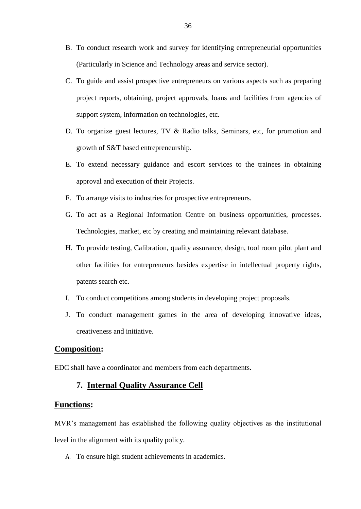- B. To conduct research work and survey for identifying entrepreneurial opportunities (Particularly in Science and Technology areas and service sector).
- C. To guide and assist prospective entrepreneurs on various aspects such as preparing project reports, obtaining, project approvals, loans and facilities from agencies of support system, information on technologies, etc.
- D. To organize guest lectures, TV & Radio talks, Seminars, etc, for promotion and growth of S&T based entrepreneurship.
- E. To extend necessary guidance and escort services to the trainees in obtaining approval and execution of their Projects.
- F. To arrange visits to industries for prospective entrepreneurs.
- G. To act as a Regional Information Centre on business opportunities, processes. Technologies, market, etc by creating and maintaining relevant database.
- H. To provide testing, Calibration, quality assurance, design, tool room pilot plant and other facilities for entrepreneurs besides expertise in intellectual property rights, patents search etc.
- I. To conduct competitions among students in developing project proposals.
- J. To conduct management games in the area of developing innovative ideas, creativeness and initiative.

#### **Composition:**

EDC shall have a coordinator and members from each departments.

#### **7. Internal Quality Assurance Cell**

#### **Functions:**

MVR's management has established the following quality objectives as the institutional level in the alignment with its quality policy.

A. To ensure high student achievements in academics.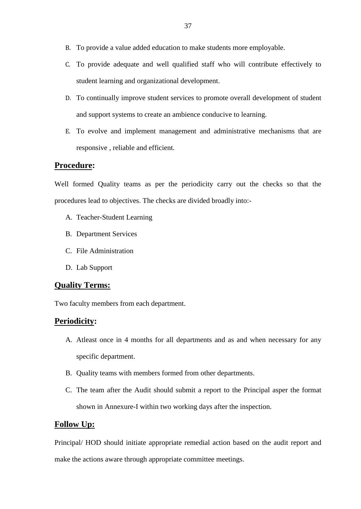- B. To provide a value added education to make students more employable.
- C. To provide adequate and well qualified staff who will contribute effectively to student learning and organizational development.
- D. To continually improve student services to promote overall development of student and support systems to create an ambience conducive to learning.
- E. To evolve and implement management and administrative mechanisms that are responsive , reliable and efficient.

#### **Procedure:**

Well formed Quality teams as per the periodicity carry out the checks so that the procedures lead to objectives. The checks are divided broadly into:-

- A. Teacher-Student Learning
- B. Department Services
- C. File Administration
- D. Lab Support

#### **Quality Terms:**

Two faculty members from each department.

#### **Periodicity:**

- A. Atleast once in 4 months for all departments and as and when necessary for any specific department.
- B. Quality teams with members formed from other departments.
- C. The team after the Audit should submit a report to the Principal asper the format shown in Annexure-I within two working days after the inspection.

#### **Follow Up:**

Principal/ HOD should initiate appropriate remedial action based on the audit report and make the actions aware through appropriate committee meetings.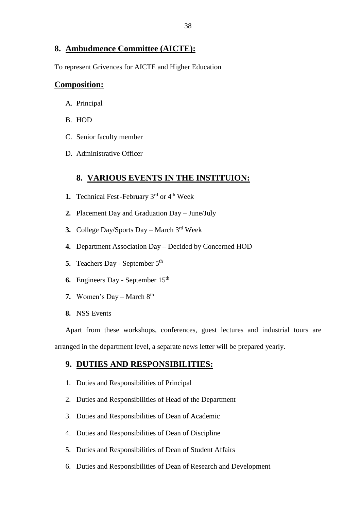#### **8. Ambudmence Committee (AICTE):**

To represent Grivences for AICTE and Higher Education

#### **Composition:**

- A. Principal
- B. HOD
- C. Senior faculty member
- D. Administrative Officer

#### **8. VARIOUS EVENTS IN THE INSTITUION:**

- **1.** Technical Fest-February 3<sup>rd</sup> or 4<sup>th</sup> Week
- **2.** Placement Day and Graduation Day June/July
- **3.** College Day/Sports Day March 3rd Week
- **4.** Department Association Day Decided by Concerned HOD
- **5.** Teachers Day September 5<sup>th</sup>
- **6.** Engineers Day September 15<sup>th</sup>
- **7.** Women's Day March 8<sup>th</sup>
- **8.** NSS Events

Apart from these workshops, conferences, guest lectures and industrial tours are arranged in the department level, a separate news letter will be prepared yearly.

## **9. DUTIES AND RESPONSIBILITIES:**

- 1. Duties and Responsibilities of Principal
- 2. Duties and Responsibilities of Head of the Department
- 3. Duties and Responsibilities of Dean of Academic
- 4. Duties and Responsibilities of Dean of Discipline
- 5. Duties and Responsibilities of Dean of Student Affairs
- 6. Duties and Responsibilities of Dean of Research and Development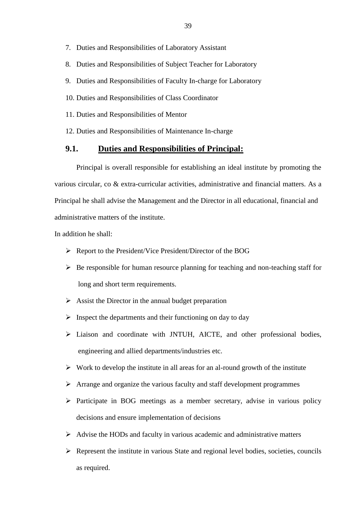- 7. Duties and Responsibilities of Laboratory Assistant
- 8. Duties and Responsibilities of Subject Teacher for Laboratory
- 9. Duties and Responsibilities of Faculty In-charge for Laboratory
- 10. Duties and Responsibilities of Class Coordinator
- 11. Duties and Responsibilities of Mentor
- 12. Duties and Responsibilities of Maintenance In-charge

#### **9.1. Duties and Responsibilities of Principal:**

Principal is overall responsible for establishing an ideal institute by promoting the various circular, co & extra-curricular activities, administrative and financial matters. As a Principal he shall advise the Management and the Director in all educational, financial and administrative matters of the institute.

In addition he shall:

- $\triangleright$  Report to the President/Vice President/Director of the BOG
- $\triangleright$  Be responsible for human resource planning for teaching and non-teaching staff for long and short term requirements.
- $\triangleright$  Assist the Director in the annual budget preparation
- $\triangleright$  Inspect the departments and their functioning on day to day
- Liaison and coordinate with JNTUH, AICTE, and other professional bodies, engineering and allied departments/industries etc.
- $\triangleright$  Work to develop the institute in all areas for an al-round growth of the institute
- $\triangleright$  Arrange and organize the various faculty and staff development programmes
- $\triangleright$  Participate in BOG meetings as a member secretary, advise in various policy decisions and ensure implementation of decisions
- $\triangleright$  Advise the HODs and faculty in various academic and administrative matters
- $\triangleright$  Represent the institute in various State and regional level bodies, societies, councils as required.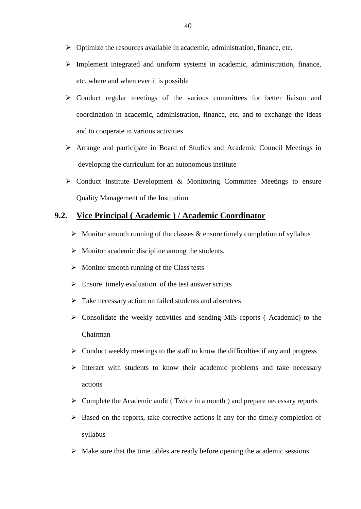- $\triangleright$  Optimize the resources available in academic, administration, finance, etc.
- $\triangleright$  Implement integrated and uniform systems in academic, administration, finance, etc. where and when ever it is possible
- $\triangleright$  Conduct regular meetings of the various committees for better liaison and coordination in academic, administration, finance, etc. and to exchange the ideas and to cooperate in various activities
- Arrange and participate in Board of Studies and Academic Council Meetings in developing the curriculum for an autonomous institute
- $\triangleright$  Conduct Institute Development & Monitoring Committee Meetings to ensure Quality Management of the Institution

#### **9.2. Vice Principal ( Academic ) / Academic Coordinator**

- $\triangleright$  Monitor smooth running of the classes & ensure timely completion of syllabus
- $\triangleright$  Monitor academic discipline among the students.
- $\triangleright$  Monitor smooth running of the Class tests
- $\triangleright$  Ensure timely evaluation of the test answer scripts
- $\triangleright$  Take necessary action on failed students and absentees
- $\triangleright$  Consolidate the weekly activities and sending MIS reports (Academic) to the Chairman
- $\triangleright$  Conduct weekly meetings to the staff to know the difficulties if any and progress
- $\triangleright$  Interact with students to know their academic problems and take necessary actions
- $\triangleright$  Complete the Academic audit (Twice in a month) and prepare necessary reports
- $\triangleright$  Based on the reports, take corrective actions if any for the timely completion of syllabus
- $\triangleright$  Make sure that the time tables are ready before opening the academic sessions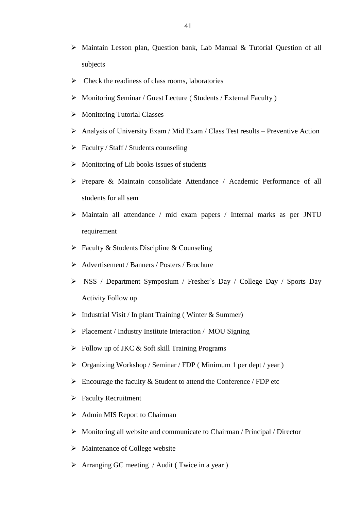- Maintain Lesson plan, Question bank, Lab Manual & Tutorial Question of all subjects
- $\triangleright$  Check the readiness of class rooms, laboratories
- Monitoring Seminar / Guest Lecture ( Students / External Faculty )
- $\triangleright$  Monitoring Tutorial Classes
- $\triangleright$  Analysis of University Exam / Mid Exam / Class Test results Preventive Action
- $\triangleright$  Faculty / Staff / Students counseling
- $\triangleright$  Monitoring of Lib books issues of students
- Prepare & Maintain consolidate Attendance / Academic Performance of all students for all sem
- Maintain all attendance / mid exam papers / Internal marks as per JNTU requirement
- $\triangleright$  Faculty & Students Discipline & Counseling
- Advertisement / Banners / Posters / Brochure
- NSS / Department Symposium / Fresher`s Day / College Day / Sports Day Activity Follow up
- $\triangleright$  Industrial Visit / In plant Training (Winter & Summer)
- Placement / Industry Institute Interaction / MOU Signing
- $\triangleright$  Follow up of JKC & Soft skill Training Programs
- $\triangleright$  Organizing Workshop / Seminar / FDP (Minimum 1 per dept / year)
- $\triangleright$  Encourage the faculty & Student to attend the Conference / FDP etc
- $\triangleright$  Faculty Recruitment
- $\triangleright$  Admin MIS Report to Chairman
- $\triangleright$  Monitoring all website and communicate to Chairman / Principal / Director
- $\triangleright$  Maintenance of College website
- $\triangleright$  Arranging GC meeting / Audit (Twice in a year)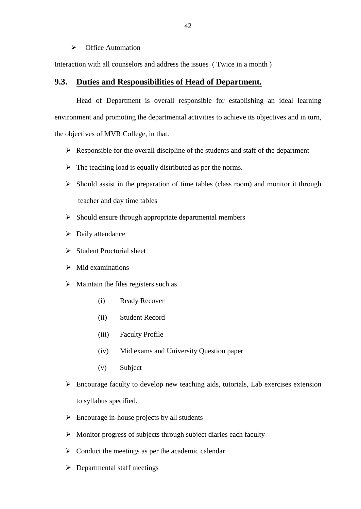#### $\triangleright$  Office Automation

Interaction with all counselors and address the issues ( Twice in a month )

#### **9.3. Duties and Responsibilities of Head of Department.**

Head of Department is overall responsible for establishing an ideal learning environment and promoting the departmental activities to achieve its objectives and in turn, the objectives of MVR College, in that.

- $\triangleright$  Responsible for the overall discipline of the students and staff of the department
- $\triangleright$  The teaching load is equally distributed as per the norms.
- $\triangleright$  Should assist in the preparation of time tables (class room) and monitor it through teacher and day time tables
- $\triangleright$  Should ensure through appropriate departmental members
- $\triangleright$  Daily attendance
- $\triangleright$  Student Proctorial sheet
- $\triangleright$  Mid examinations
- $\triangleright$  Maintain the files registers such as
	- (i) Ready Recover
	- (ii) Student Record
	- (iii) Faculty Profile
	- (iv) Mid exams and University Question paper
	- (v) Subject
- $\triangleright$  Encourage faculty to develop new teaching aids, tutorials, Lab exercises extension to syllabus specified.
- $\triangleright$  Encourage in-house projects by all students
- $\triangleright$  Monitor progress of subjects through subject diaries each faculty
- $\triangleright$  Conduct the meetings as per the academic calendar
- Departmental staff meetings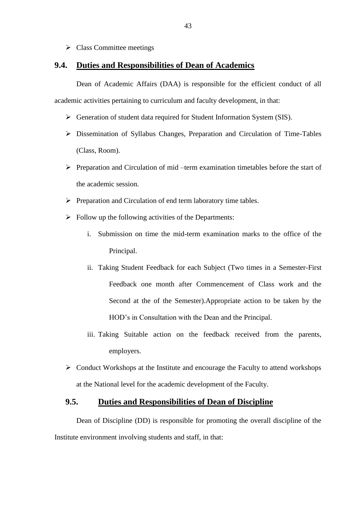$\triangleright$  Class Committee meetings

#### **9.4. Duties and Responsibilities of Dean of Academics**

Dean of Academic Affairs (DAA) is responsible for the efficient conduct of all academic activities pertaining to curriculum and faculty development, in that:

- Generation of student data required for Student Information System (SIS).
- Dissemination of Syllabus Changes, Preparation and Circulation of Time-Tables (Class, Room).
- $\triangleright$  Preparation and Circulation of mid –term examination timetables before the start of the academic session.
- $\triangleright$  Preparation and Circulation of end term laboratory time tables.
- $\triangleright$  Follow up the following activities of the Departments:
	- i. Submission on time the mid-term examination marks to the office of the Principal.
	- ii. Taking Student Feedback for each Subject (Two times in a Semester-First Feedback one month after Commencement of Class work and the Second at the of the Semester).Appropriate action to be taken by the HOD's in Consultation with the Dean and the Principal.
	- iii. Taking Suitable action on the feedback received from the parents, employers.
- $\triangleright$  Conduct Workshops at the Institute and encourage the Faculty to attend workshops at the National level for the academic development of the Faculty.

#### **9.5. Duties and Responsibilities of Dean of Discipline**

Dean of Discipline (DD) is responsible for promoting the overall discipline of the Institute environment involving students and staff, in that: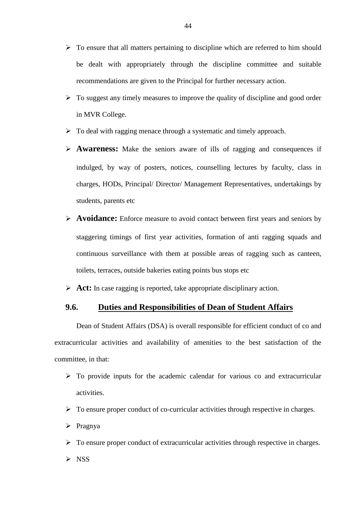- $\triangleright$  To ensure that all matters pertaining to discipline which are referred to him should be dealt with appropriately through the discipline committee and suitable recommendations are given to the Principal for further necessary action.
- $\triangleright$  To suggest any timely measures to improve the quality of discipline and good order in MVR College.
- $\triangleright$  To deal with ragging menace through a systematic and timely approach.
- **Awareness:** Make the seniors aware of ills of ragging and consequences if indulged, by way of posters, notices, counselling lectures by faculty, class in charges, HODs, Principal/ Director/ Management Representatives, undertakings by students, parents etc
- **Avoidance:** Enforce measure to avoid contact between first years and seniors by staggering timings of first year activities, formation of anti ragging squads and continuous surveillance with them at possible areas of ragging such as canteen, toilets, terraces, outside bakeries eating points bus stops etc
- **Act:** In case ragging is reported, take appropriate disciplinary action.

#### **9.6. Duties and Responsibilities of Dean of Student Affairs**

Dean of Student Affairs (DSA) is overall responsible for efficient conduct of co and extracurricular activities and availability of amenities to the best satisfaction of the committee, in that:

- $\triangleright$  To provide inputs for the academic calendar for various co and extracurricular activities.
- $\triangleright$  To ensure proper conduct of co-curricular activities through respective in charges.
- $\triangleright$  Pragnya
- $\triangleright$  To ensure proper conduct of extracurricular activities through respective in charges.
- $\triangleright$  NSS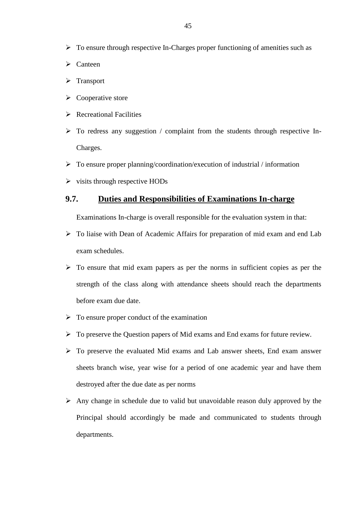- $\triangleright$  To ensure through respective In-Charges proper functioning of amenities such as
- $\triangleright$  Canteen
- > Transport
- $\triangleright$  Cooperative store
- $\triangleright$  Recreational Facilities
- $\triangleright$  To redress any suggestion / complaint from the students through respective In-Charges.
- $\triangleright$  To ensure proper planning/coordination/execution of industrial / information
- $\triangleright$  visits through respective HODs

#### **9.7. Duties and Responsibilities of Examinations In-charge**

Examinations In-charge is overall responsible for the evaluation system in that:

- $\triangleright$  To liaise with Dean of Academic Affairs for preparation of mid exam and end Lab exam schedules.
- $\triangleright$  To ensure that mid exam papers as per the norms in sufficient copies as per the strength of the class along with attendance sheets should reach the departments before exam due date.
- $\triangleright$  To ensure proper conduct of the examination
- $\triangleright$  To preserve the Question papers of Mid exams and End exams for future review.
- $\triangleright$  To preserve the evaluated Mid exams and Lab answer sheets, End exam answer sheets branch wise, year wise for a period of one academic year and have them destroyed after the due date as per norms
- $\triangleright$  Any change in schedule due to valid but unavoidable reason duly approved by the Principal should accordingly be made and communicated to students through departments.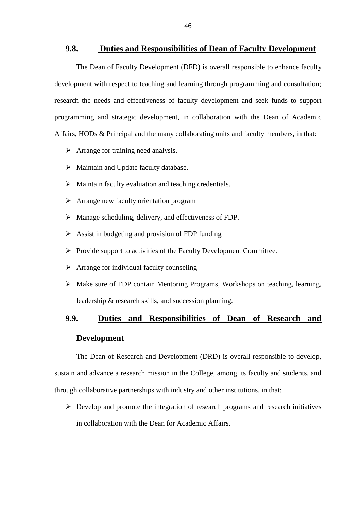#### **9.8. Duties and Responsibilities of Dean of Faculty Development**

The Dean of Faculty Development (DFD) is overall responsible to enhance faculty development with respect to teaching and learning through programming and consultation; research the needs and effectiveness of faculty development and seek funds to support programming and strategic development, in collaboration with the Dean of Academic Affairs, HODs & Principal and the many collaborating units and faculty members, in that:

- $\triangleright$  Arrange for training need analysis.
- $\triangleright$  Maintain and Update faculty database.
- $\triangleright$  Maintain faculty evaluation and teaching credentials.
- Arrange new faculty orientation program
- $\triangleright$  Manage scheduling, delivery, and effectiveness of FDP.
- $\triangleright$  Assist in budgeting and provision of FDP funding
- $\triangleright$  Provide support to activities of the Faculty Development Committee.
- $\triangleright$  Arrange for individual faculty counseling
- Make sure of FDP contain Mentoring Programs, Workshops on teaching, learning, leadership & research skills, and succession planning.

## **9.9. Duties and Responsibilities of Dean of Research and Development**

The Dean of Research and Development (DRD) is overall responsible to develop, sustain and advance a research mission in the College, among its faculty and students, and through collaborative partnerships with industry and other institutions, in that:

 $\triangleright$  Develop and promote the integration of research programs and research initiatives in collaboration with the Dean for Academic Affairs.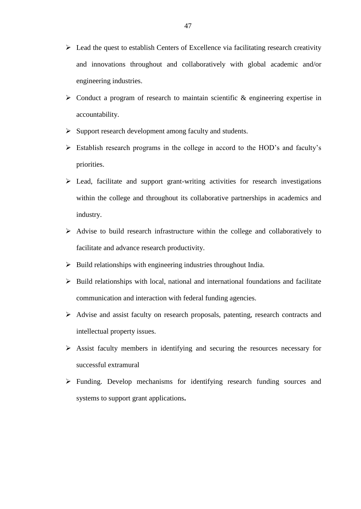- $\triangleright$  Lead the quest to establish Centers of Excellence via facilitating research creativity and innovations throughout and collaboratively with global academic and/or engineering industries.
- $\triangleright$  Conduct a program of research to maintain scientific & engineering expertise in accountability.
- $\triangleright$  Support research development among faculty and students.
- Establish research programs in the college in accord to the HOD's and faculty's priorities.
- $\triangleright$  Lead, facilitate and support grant-writing activities for research investigations within the college and throughout its collaborative partnerships in academics and industry.
- $\triangleright$  Advise to build research infrastructure within the college and collaboratively to facilitate and advance research productivity.
- $\triangleright$  Build relationships with engineering industries throughout India.
- $\triangleright$  Build relationships with local, national and international foundations and facilitate communication and interaction with federal funding agencies.
- Advise and assist faculty on research proposals, patenting, research contracts and intellectual property issues.
- Assist faculty members in identifying and securing the resources necessary for successful extramural
- Funding. Develop mechanisms for identifying research funding sources and systems to support grant applications**.**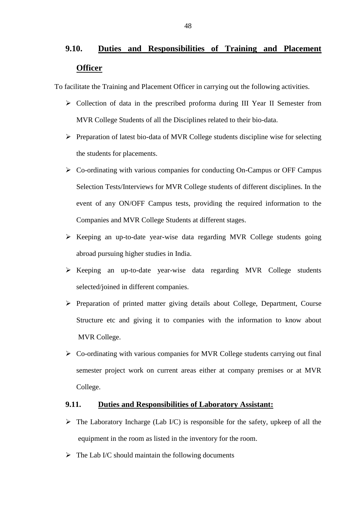## **9.10. Duties and Responsibilities of Training and Placement Officer**

To facilitate the Training and Placement Officer in carrying out the following activities.

- Collection of data in the prescribed proforma during III Year II Semester from MVR College Students of all the Disciplines related to their bio-data.
- $\triangleright$  Preparation of latest bio-data of MVR College students discipline wise for selecting the students for placements.
- Co-ordinating with various companies for conducting On-Campus or OFF Campus Selection Tests/Interviews for MVR College students of different disciplines. In the event of any ON/OFF Campus tests, providing the required information to the Companies and MVR College Students at different stages.
- $\triangleright$  Keeping an up-to-date year-wise data regarding MVR College students going abroad pursuing higher studies in India.
- Keeping an up-to-date year-wise data regarding MVR College students selected/joined in different companies.
- $\triangleright$  Preparation of printed matter giving details about College, Department, Course Structure etc and giving it to companies with the information to know about MVR College.
- $\triangleright$  Co-ordinating with various companies for MVR College students carrying out final semester project work on current areas either at company premises or at MVR College.

#### **9.11. Duties and Responsibilities of Laboratory Assistant:**

- $\triangleright$  The Laboratory Incharge (Lab I/C) is responsible for the safety, upkeep of all the equipment in the room as listed in the inventory for the room.
- $\triangleright$  The Lab I/C should maintain the following documents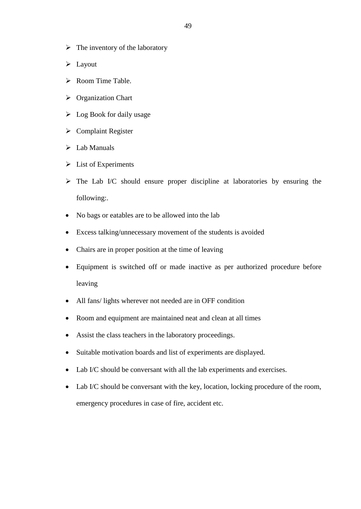- $\triangleright$  The inventory of the laboratory
- $\blacktriangleright$  Layout
- $\triangleright$  Room Time Table.
- Organization Chart
- $\triangleright$  Log Book for daily usage
- $\triangleright$  Complaint Register
- $\triangleright$  Lab Manuals
- $\triangleright$  List of Experiments
- $\triangleright$  The Lab I/C should ensure proper discipline at laboratories by ensuring the following:.
- No bags or eatables are to be allowed into the lab
- Excess talking/unnecessary movement of the students is avoided
- Chairs are in proper position at the time of leaving
- Equipment is switched off or made inactive as per authorized procedure before leaving
- All fans/ lights wherever not needed are in OFF condition
- Room and equipment are maintained neat and clean at all times
- Assist the class teachers in the laboratory proceedings.
- Suitable motivation boards and list of experiments are displayed.
- Lab I/C should be conversant with all the lab experiments and exercises.
- Lab I/C should be conversant with the key, location, locking procedure of the room, emergency procedures in case of fire, accident etc.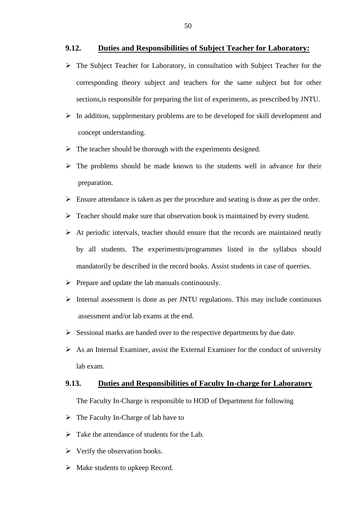#### **9.12. Duties and Responsibilities of Subject Teacher for Laboratory:**

- The Subject Teacher for Laboratory, in consultation with Subject Teacher for the corresponding theory subject and teachers for the same subject but for other sections,is responsible for preparing the list of experiments, as prescribed by JNTU.
- $\triangleright$  In addition, supplementary problems are to be developed for skill development and concept understanding.
- $\triangleright$  The teacher should be thorough with the experiments designed.
- $\triangleright$  The problems should be made known to the students well in advance for their preparation.
- $\triangleright$  Ensure attendance is taken as per the procedure and seating is done as per the order.
- $\triangleright$  Teacher should make sure that observation book is maintained by every student.
- $\triangleright$  At periodic intervals, teacher should ensure that the records are maintained neatly by all students. The experiments/programmes listed in the syllabus should mandatorily be described in the record books. Assist students in case of querries.
- $\triangleright$  Prepare and update the lab manuals continuously.
- $\triangleright$  Internal assessment is done as per JNTU regulations. This may include continuous assessment and/or lab exams at the end.
- $\triangleright$  Sessional marks are handed over to the respective departments by due date.
- $\triangleright$  As an Internal Examiner, assist the External Examiner for the conduct of university lab exam.

#### **9.13. Duties and Responsibilities of Faculty In-charge for Laboratory**

The Faculty In-Charge is responsible to HOD of Department for following

- $\triangleright$  The Faculty In-Charge of lab have to
- $\triangleright$  Take the attendance of students for the Lab.
- $\triangleright$  Verify the observation books.
- $\triangleright$  Make students to upkeep Record.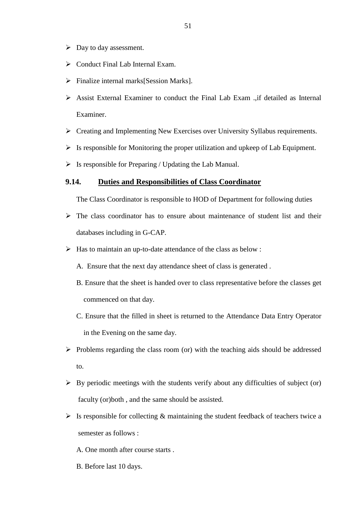- $\triangleright$  Day to day assessment.
- $\triangleright$  Conduct Final Lab Internal Exam.
- $\triangleright$  Finalize internal marks [Session Marks].
- Assist External Examiner to conduct the Final Lab Exam .,if detailed as Internal Examiner.
- Creating and Implementing New Exercises over University Syllabus requirements.
- $\triangleright$  Is responsible for Monitoring the proper utilization and upkeep of Lab Equipment.
- $\triangleright$  Is responsible for Preparing / Updating the Lab Manual.

#### **9.14. Duties and Responsibilities of Class Coordinator**

The Class Coordinator is responsible to HOD of Department for following duties

- $\triangleright$  The class coordinator has to ensure about maintenance of student list and their databases including in G-CAP.
- $\triangleright$  Has to maintain an up-to-date attendance of the class as below :
	- A. Ensure that the next day attendance sheet of class is generated .
	- B. Ensure that the sheet is handed over to class representative before the classes get commenced on that day.
	- C. Ensure that the filled in sheet is returned to the Attendance Data Entry Operator in the Evening on the same day.
- $\triangleright$  Problems regarding the class room (or) with the teaching aids should be addressed to.
- $\triangleright$  By periodic meetings with the students verify about any difficulties of subject (or) faculty (or)both , and the same should be assisted.
- $\triangleright$  Is responsible for collecting & maintaining the student feedback of teachers twice a semester as follows :
	- A. One month after course starts .
	- B. Before last 10 days.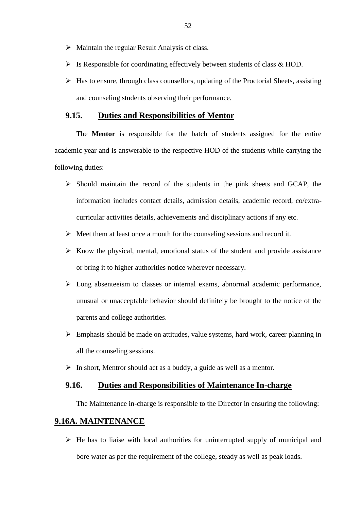- $\triangleright$  Maintain the regular Result Analysis of class.
- $\triangleright$  Is Responsible for coordinating effectively between students of class & HOD.
- $\triangleright$  Has to ensure, through class counsellors, updating of the Proctorial Sheets, assisting and counseling students observing their performance.

#### **9.15. Duties and Responsibilities of Mentor**

The **Mentor** is responsible for the batch of students assigned for the entire academic year and is answerable to the respective HOD of the students while carrying the following duties:

- $\triangleright$  Should maintain the record of the students in the pink sheets and GCAP, the information includes contact details, admission details, academic record, co/extracurricular activities details, achievements and disciplinary actions if any etc.
- $\triangleright$  Meet them at least once a month for the counseling sessions and record it.
- $\triangleright$  Know the physical, mental, emotional status of the student and provide assistance or bring it to higher authorities notice wherever necessary.
- $\triangleright$  Long absenteeism to classes or internal exams, abnormal academic performance, unusual or unacceptable behavior should definitely be brought to the notice of the parents and college authorities.
- $\triangleright$  Emphasis should be made on attitudes, value systems, hard work, career planning in all the counseling sessions.
- $\triangleright$  In short, Mentror should act as a buddy, a guide as well as a mentor.

#### **9.16. Duties and Responsibilities of Maintenance In-charge**

The Maintenance in-charge is responsible to the Director in ensuring the following:

### **9.16A. MAINTENANCE**

 $\triangleright$  He has to liaise with local authorities for uninterrupted supply of municipal and bore water as per the requirement of the college, steady as well as peak loads.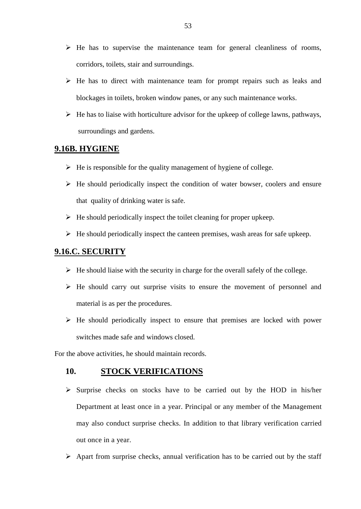- $\triangleright$  He has to supervise the maintenance team for general cleanliness of rooms, corridors, toilets, stair and surroundings.
- $\triangleright$  He has to direct with maintenance team for prompt repairs such as leaks and blockages in toilets, broken window panes, or any such maintenance works.
- $\triangleright$  He has to liaise with horticulture advisor for the upkeep of college lawns, pathways, surroundings and gardens.

#### **9.16B. HYGIENE**

- $\triangleright$  He is responsible for the quality management of hygiene of college.
- $\triangleright$  He should periodically inspect the condition of water bowser, coolers and ensure that quality of drinking water is safe.
- $\triangleright$  He should periodically inspect the toilet cleaning for proper upkeep.
- $\triangleright$  He should periodically inspect the canteen premises, wash areas for safe upkeep.

### **9.16.C. SECURITY**

- $\triangleright$  He should liaise with the security in charge for the overall safely of the college.
- $\triangleright$  He should carry out surprise visits to ensure the movement of personnel and material is as per the procedures.
- $\triangleright$  He should periodically inspect to ensure that premises are locked with power switches made safe and windows closed.

For the above activities, he should maintain records.

#### **10. STOCK VERIFICATIONS**

- $\triangleright$  Surprise checks on stocks have to be carried out by the HOD in his/her Department at least once in a year. Principal or any member of the Management may also conduct surprise checks. In addition to that library verification carried out once in a year.
- $\triangleright$  Apart from surprise checks, annual verification has to be carried out by the staff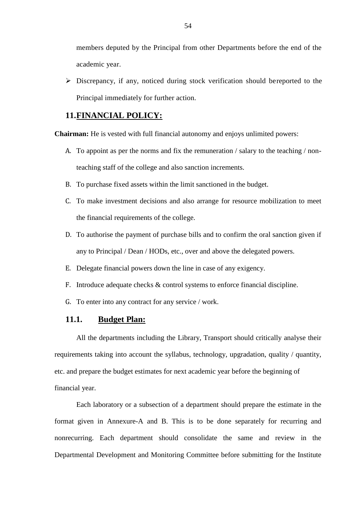members deputed by the Principal from other Departments before the end of the academic year.

 Discrepancy, if any, noticed during stock verification should bereported to the Principal immediately for further action.

#### **11.FINANCIAL POLICY:**

**Chairman:** He is vested with full financial autonomy and enjoys unlimited powers:

- A. To appoint as per the norms and fix the remuneration / salary to the teaching / nonteaching staff of the college and also sanction increments.
- B. To purchase fixed assets within the limit sanctioned in the budget.
- C. To make investment decisions and also arrange for resource mobilization to meet the financial requirements of the college.
- D. To authorise the payment of purchase bills and to confirm the oral sanction given if any to Principal / Dean / HODs, etc., over and above the delegated powers.
- E. Delegate financial powers down the line in case of any exigency.
- F. Introduce adequate checks & control systems to enforce financial discipline.
- G. To enter into any contract for any service / work.

#### **11.1. Budget Plan:**

All the departments including the Library, Transport should critically analyse their requirements taking into account the syllabus, technology, upgradation, quality / quantity, etc. and prepare the budget estimates for next academic year before the beginning of financial year.

Each laboratory or a subsection of a department should prepare the estimate in the format given in Annexure-A and B. This is to be done separately for recurring and nonrecurring. Each department should consolidate the same and review in the Departmental Development and Monitoring Committee before submitting for the Institute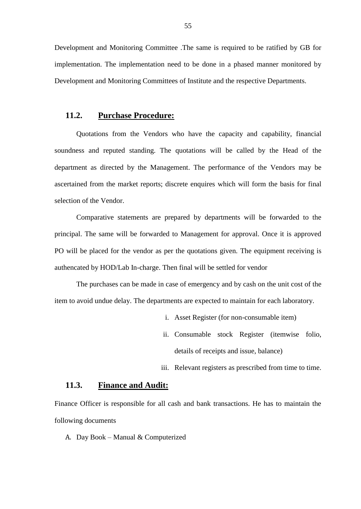Development and Monitoring Committee .The same is required to be ratified by GB for implementation. The implementation need to be done in a phased manner monitored by Development and Monitoring Committees of Institute and the respective Departments.

#### **11.2. Purchase Procedure:**

Quotations from the Vendors who have the capacity and capability, financial soundness and reputed standing. The quotations will be called by the Head of the department as directed by the Management. The performance of the Vendors may be ascertained from the market reports; discrete enquires which will form the basis for final selection of the Vendor.

Comparative statements are prepared by departments will be forwarded to the principal. The same will be forwarded to Management for approval. Once it is approved PO will be placed for the vendor as per the quotations given. The equipment receiving is authencated by HOD/Lab In-charge. Then final will be settled for vendor

The purchases can be made in case of emergency and by cash on the unit cost of the item to avoid undue delay. The departments are expected to maintain for each laboratory.

- i. Asset Register (for non-consumable item)
- ii. Consumable stock Register (itemwise folio, details of receipts and issue, balance)
- iii. Relevant registers as prescribed from time to time.

#### **11.3. Finance and Audit:**

Finance Officer is responsible for all cash and bank transactions. He has to maintain the following documents

A. Day Book – Manual & Computerized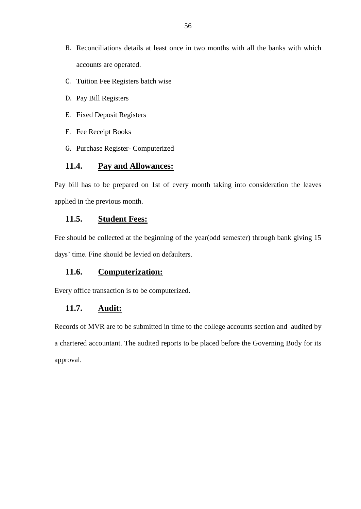- B. Reconciliations details at least once in two months with all the banks with which accounts are operated.
- C. Tuition Fee Registers batch wise
- D. Pay Bill Registers
- E. Fixed Deposit Registers
- F. Fee Receipt Books
- G. Purchase Register- Computerized

#### **11.4. Pay and Allowances:**

Pay bill has to be prepared on 1st of every month taking into consideration the leaves applied in the previous month.

#### **11.5. Student Fees:**

Fee should be collected at the beginning of the year(odd semester) through bank giving 15 days' time. Fine should be levied on defaulters.

#### **11.6. Computerization:**

Every office transaction is to be computerized.

#### **11.7. Audit:**

Records of MVR are to be submitted in time to the college accounts section and audited by a chartered accountant. The audited reports to be placed before the Governing Body for its approval.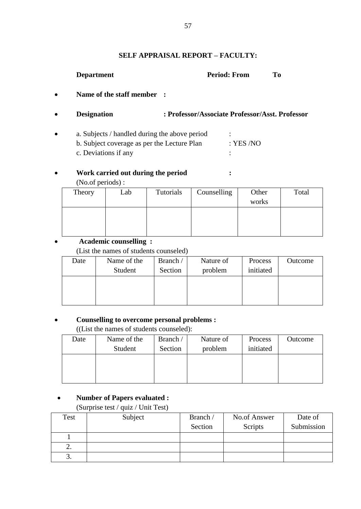#### **SELF APPRAISAL REPORT – FACULTY:**

#### **Department Period: From To**

**Name of the staff member :**

#### **Designation : Professor/Associate Professor/Asst. Professor**

• a. Subjects / handled during the above period : b. Subject coverage as per the Lecture Plan : YES /NO c. Deviations if any :

## **Work carried out during the period :**

(No.of periods) :

| Theory | Lab | Tutorials | Counselling | Other | Total |
|--------|-----|-----------|-------------|-------|-------|
|        |     |           |             | works |       |
|        |     |           |             |       |       |
|        |     |           |             |       |       |
|        |     |           |             |       |       |

#### **Academic counselling :**

(List the names of students counseled)

| Date | Name of the<br>Student | Branch /<br>Section | Nature of<br>problem | Process<br>initiated | Outcome |
|------|------------------------|---------------------|----------------------|----------------------|---------|
|      |                        |                     |                      |                      |         |

#### **Counselling to overcome personal problems :**

((List the names of students counseled):

| Date | Name of the | Branch / | Nature of | Process   | Outcome |
|------|-------------|----------|-----------|-----------|---------|
|      | Student     | Section  | problem   | initiated |         |
|      |             |          |           |           |         |
|      |             |          |           |           |         |
|      |             |          |           |           |         |

#### **Number of Papers evaluated :**

(Surprise test / quiz / Unit Test)

| Test | Subject | Branch / | No.of Answer | Date of    |
|------|---------|----------|--------------|------------|
|      |         | Section  | Scripts      | Submission |
|      |         |          |              |            |
| ۷.   |         |          |              |            |
| ິ.   |         |          |              |            |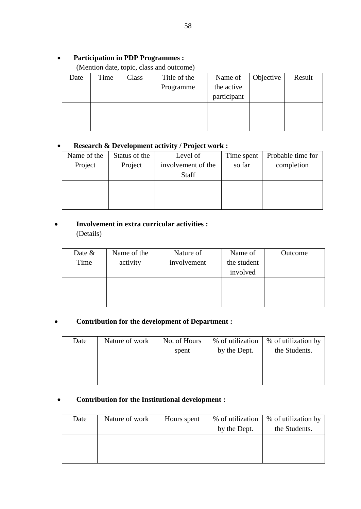## **Participation in PDP Programmes :**

## (Mention date, topic, class and outcome)

| Date | Time | Class | Title of the | Name of     | Objective | Result |
|------|------|-------|--------------|-------------|-----------|--------|
|      |      |       | Programme    | the active  |           |        |
|      |      |       |              | participant |           |        |
|      |      |       |              |             |           |        |
|      |      |       |              |             |           |        |
|      |      |       |              |             |           |        |

## **Research & Development activity / Project work :**

| Name of the | Status of the | Level of           | Time spent | Probable time for |
|-------------|---------------|--------------------|------------|-------------------|
| Project     | Project       | involvement of the | so far     | completion        |
|             |               | <b>Staff</b>       |            |                   |
|             |               |                    |            |                   |
|             |               |                    |            |                   |
|             |               |                    |            |                   |

## **Involvement in extra curricular activities :**

(Details)

| Date $\&$ | Name of the | Nature of   | Name of     | Outcome |
|-----------|-------------|-------------|-------------|---------|
| Time      | activity    | involvement | the student |         |
|           |             |             | involved    |         |
|           |             |             |             |         |
|           |             |             |             |         |
|           |             |             |             |         |

### **Contribution for the development of Department :**

| Date | Nature of work | No. of Hours<br>spent | % of utilization<br>by the Dept. | % of utilization by<br>the Students. |
|------|----------------|-----------------------|----------------------------------|--------------------------------------|
|      |                |                       |                                  |                                      |

### **Contribution for the Institutional development :**

| Date | Nature of work | Hours spent | % of utilization<br>by the Dept. | % of utilization by<br>the Students. |
|------|----------------|-------------|----------------------------------|--------------------------------------|
|      |                |             |                                  |                                      |